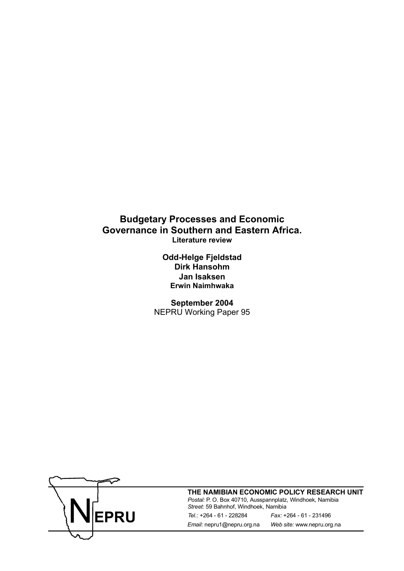## **Budgetary Processes and Economic Governance in Southern and Eastern Africa. Literature review**

**Odd-Helge Fjeldstad Dirk Hansohm Jan Isaksen Erwin Naimhwaka** 

**September 2004**  NEPRU Working Paper 95



**THE NAMIBIAN ECONOMIC POLICY RESEARCH UNIT**

*Street:* 59 Bahnhof, Windhoek, Namibia *Tel.:* +264 - 61 - 228284 *Fax:* +264 - 61 - 231496 *Email:* nepru1@nepru.org.na *Web site:* www.nepru.org.na Postal: P. O. Box 40710, Ausspannplatz, Windhoek, Namibia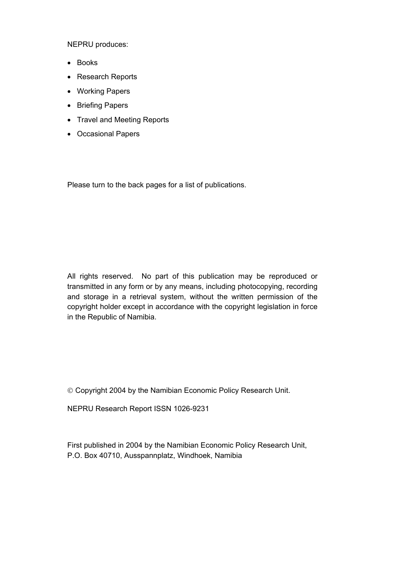NEPRU produces:

- Books
- Research Reports
- Working Papers
- Briefing Papers
- Travel and Meeting Reports
- Occasional Papers

Please turn to the back pages for a list of publications.

All rights reserved. No part of this publication may be reproduced or transmitted in any form or by any means, including photocopying, recording and storage in a retrieval system, without the written permission of the copyright holder except in accordance with the copyright legislation in force in the Republic of Namibia.

Copyright 2004 by the Namibian Economic Policy Research Unit.

NEPRU Research Report ISSN 1026-9231

First published in 2004 by the Namibian Economic Policy Research Unit, P.O. Box 40710, Ausspannplatz, Windhoek, Namibia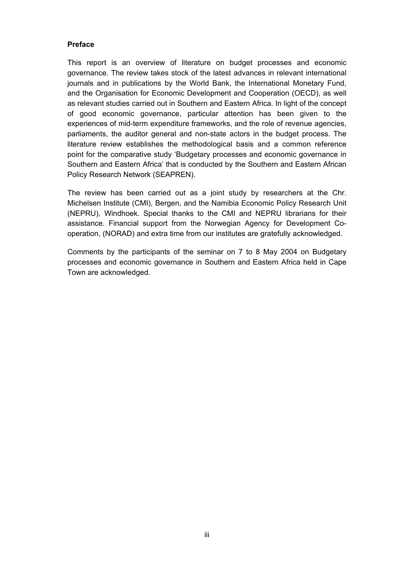#### <span id="page-2-0"></span>**Preface**

This report is an overview of literature on budget processes and economic governance. The review takes stock of the latest advances in relevant international journals and in publications by the World Bank, the International Monetary Fund, and the Organisation for Economic Development and Cooperation (OECD), as well as relevant studies carried out in Southern and Eastern Africa. In light of the concept of good economic governance, particular attention has been given to the experiences of mid-term expenditure frameworks, and the role of revenue agencies, parliaments, the auditor general and non-state actors in the budget process. The literature review establishes the methodological basis and a common reference point for the comparative study 'Budgetary processes and economic governance in Southern and Eastern Africa' that is conducted by the Southern and Eastern African Policy Research Network (SEAPREN).

The review has been carried out as a joint study by researchers at the Chr. Michelsen Institute (CMI), Bergen, and the Namibia Economic Policy Research Unit (NEPRU), Windhoek. Special thanks to the CMI and NEPRU librarians for their assistance. Financial support from the Norwegian Agency for Development Cooperation, (NORAD) and extra time from our institutes are gratefully acknowledged.

Comments by the participants of the seminar on 7 to 8 May 2004 on Budgetary processes and economic governance in Southern and Eastern Africa held in Cape Town are acknowledged.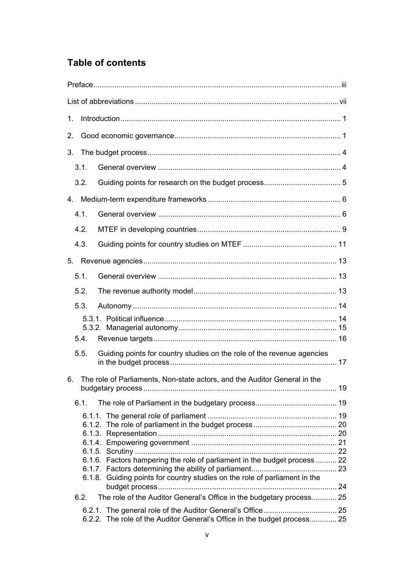# **Table of contents**

| 1. |      |                                                                            |  |
|----|------|----------------------------------------------------------------------------|--|
| 2. |      |                                                                            |  |
|    |      |                                                                            |  |
|    | 3.1. |                                                                            |  |
|    | 3.2. |                                                                            |  |
|    |      |                                                                            |  |
|    | 4.1. |                                                                            |  |
|    | 4.2. |                                                                            |  |
|    | 4.3. |                                                                            |  |
|    |      |                                                                            |  |
|    | 5.1. |                                                                            |  |
|    | 5.2. |                                                                            |  |
|    | 5.3. |                                                                            |  |
|    |      |                                                                            |  |
|    | 5.4. |                                                                            |  |
|    | 5.5. | Guiding points for country studies on the role of the revenue agencies     |  |
| 6. |      | The role of Parliaments, Non-state actors, and the Auditor General in the  |  |
|    | 6.1. |                                                                            |  |
|    |      |                                                                            |  |
|    |      |                                                                            |  |
|    |      |                                                                            |  |
|    |      | 6.1.6. Factors hampering the role of parliament in the budget process  22  |  |
|    |      |                                                                            |  |
|    |      | 6.1.8. Guiding points for country studies on the role of parliament in the |  |
|    | 6.2. | The role of the Auditor General's Office in the budgetary process 25       |  |
|    |      | 6.2.2. The role of the Auditor General's Office in the budget process 25   |  |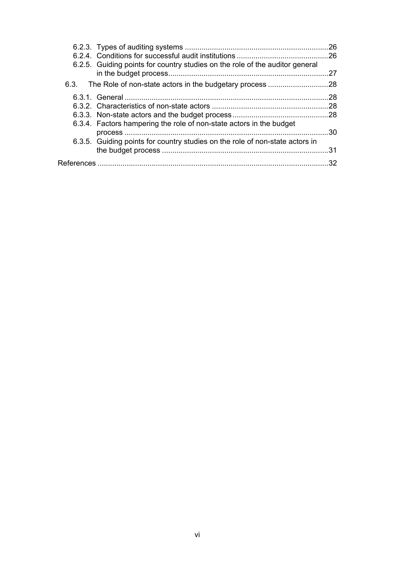|                                                                              | .26 |  |  |
|------------------------------------------------------------------------------|-----|--|--|
| 6.2.5. Guiding points for country studies on the role of the auditor general | .27 |  |  |
|                                                                              |     |  |  |
|                                                                              | 28  |  |  |
|                                                                              | .28 |  |  |
|                                                                              |     |  |  |
| 6.3.4. Factors hampering the role of non-state actors in the budget          | 30  |  |  |
| 6.3.5. Guiding points for country studies on the role of non-state actors in | 31  |  |  |
| .32                                                                          |     |  |  |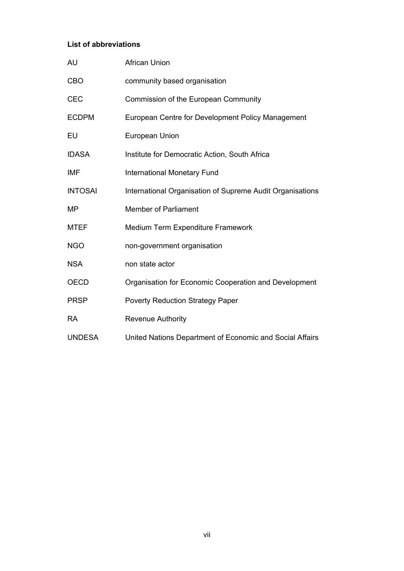#### <span id="page-6-0"></span>**List of abbreviations**

| <b>AU</b>      | <b>African Union</b>                                      |
|----------------|-----------------------------------------------------------|
| <b>CBO</b>     | community based organisation                              |
| <b>CEC</b>     | Commission of the European Community                      |
| <b>ECDPM</b>   | European Centre for Development Policy Management         |
| EU             | European Union                                            |
| <b>IDASA</b>   | Institute for Democratic Action, South Africa             |
| IMF            | <b>International Monetary Fund</b>                        |
| <b>INTOSAI</b> | International Organisation of Supreme Audit Organisations |
| MP             | <b>Member of Parliament</b>                               |
| <b>MTEF</b>    | Medium Term Expenditure Framework                         |
| <b>NGO</b>     | non-government organisation                               |
| <b>NSA</b>     | non state actor                                           |
| <b>OECD</b>    | Organisation for Economic Cooperation and Development     |
| <b>PRSP</b>    | <b>Poverty Reduction Strategy Paper</b>                   |
| <b>RA</b>      | <b>Revenue Authority</b>                                  |
| <b>UNDESA</b>  | United Nations Department of Economic and Social Affairs  |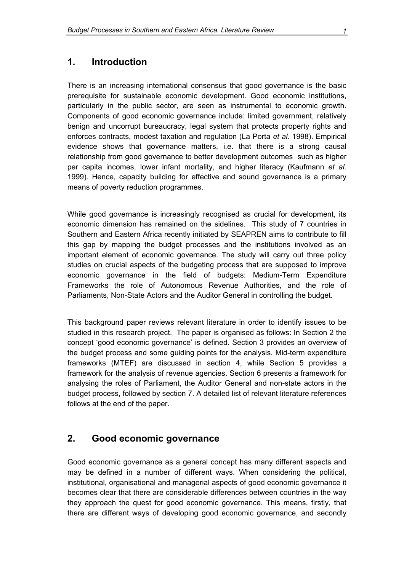#### <span id="page-8-0"></span>**1. Introduction**

There is an increasing international consensus that good governance is the basic prerequisite for sustainable economic development. Good economic institutions, particularly in the public sector, are seen as instrumental to economic growth. Components of good economic governance include: limited government, relatively benign and uncorrupt bureaucracy, legal system that protects property rights and enforces contracts, modest taxation and regulation (La Porta *et al.* 1998). Empirical evidence shows that governance matters, i.e. that there is a strong causal relationship from good governance to better development outcomes such as higher per capita incomes, lower infant mortality, and higher literacy (Kaufmann *et al.* 1999). Hence, capacity building for effective and sound governance is a primary means of poverty reduction programmes.

While good governance is increasingly recognised as crucial for development, its economic dimension has remained on the sidelines. This study of 7 countries in Southern and Eastern Africa recently initiated by SEAPREN aims to contribute to fill this gap by mapping the budget processes and the institutions involved as an important element of economic governance. The study will carry out three policy studies on crucial aspects of the budgeting process that are supposed to improve economic governance in the field of budgets: Medium-Term Expenditure Frameworks the role of Autonomous Revenue Authorities, and the role of Parliaments, Non-State Actors and the Auditor General in controlling the budget.

This background paper reviews relevant literature in order to identify issues to be studied in this research project. The paper is organised as follows: In Section 2 the concept 'good economic governance' is defined. Section 3 provides an overview of the budget process and some guiding points for the analysis. Mid-term expenditure frameworks (MTEF) are discussed in section 4, while Section 5 provides a framework for the analysis of revenue agencies. Section 6 presents a framework for analysing the roles of Parliament, the Auditor General and non-state actors in the budget process, followed by section 7. A detailed list of relevant literature references follows at the end of the paper.

#### **2. Good economic governance**

Good economic governance as a general concept has many different aspects and may be defined in a number of different ways. When considering the political, institutional, organisational and managerial aspects of good economic governance it becomes clear that there are considerable differences between countries in the way they approach the quest for good economic governance. This means, firstly, that there are different ways of developing good economic governance, and secondly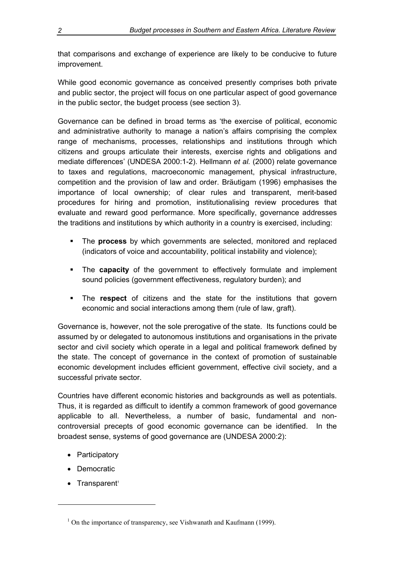that comparisons and exchange of experience are likely to be conducive to future improvement.

While good economic governance as conceived presently comprises both private and public sector, the project will focus on one particular aspect of good governance in the public sector, the budget process (see section 3).

Governance can be defined in broad terms as 'the exercise of political, economic and administrative authority to manage a nation's affairs comprising the complex range of mechanisms, processes, relationships and institutions through which citizens and groups articulate their interests, exercise rights and obligations and mediate differences' (UNDESA 2000:1-2). Hellmann *et al.* (2000) relate governance to taxes and regulations, macroeconomic management, physical infrastructure, competition and the provision of law and order. Bräutigam (1996) emphasises the importance of local ownership; of clear rules and transparent, merit-based procedures for hiring and promotion, institutionalising review procedures that evaluate and reward good performance. More specifically, governance addresses the traditions and institutions by which authority in a country is exercised, including:

- The **process** by which governments are selected, monitored and replaced (indicators of voice and accountability, political instability and violence);
- The **capacity** of the government to effectively formulate and implement sound policies (government effectiveness, regulatory burden); and
- The **respect** of citizens and the state for the institutions that govern economic and social interactions among them (rule of law, graft).

Governance is, however, not the sole prerogative of the state. Its functions could be assumed by or delegated to autonomous institutions and organisations in the private sector and civil society which operate in a legal and political framework defined by the state. The concept of governance in the context of promotion of sustainable economic development includes efficient government, effective civil society, and a successful private sector.

Countries have different economic histories and backgrounds as well as potentials. Thus, it is regarded as difficult to identify a common framework of good governance applicable to all. Nevertheless, a number of basic, fundamental and noncontroversial precepts of good economic governance can be identified. In the broadest sense, systems of good governance are (UNDESA 2000:2):

- Participatory
- Democratic
- Transparent<sup>[1](#page-9-0)</sup>

 $\overline{a}$ 

<span id="page-9-0"></span><sup>&</sup>lt;sup>1</sup> On the importance of transparency, see Vishwanath and Kaufmann (1999).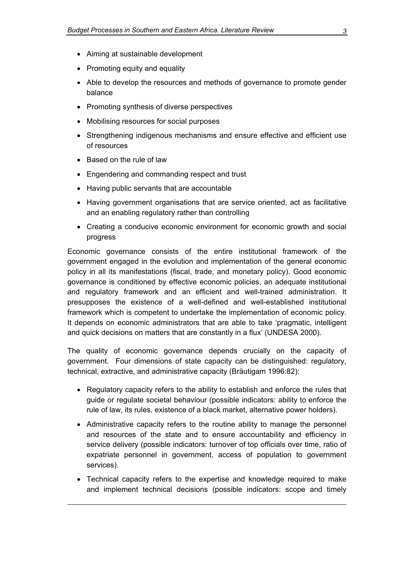- Aiming at sustainable development
- Promoting equity and equality
- Able to develop the resources and methods of governance to promote gender balance
- Promoting synthesis of diverse perspectives
- Mobilising resources for social purposes
- Strengthening indigenous mechanisms and ensure effective and efficient use of resources
- Based on the rule of law

 $\overline{a}$ 

- Engendering and commanding respect and trust
- Having public servants that are accountable
- Having government organisations that are service oriented, act as facilitative and an enabling regulatory rather than controlling
- Creating a conducive economic environment for economic growth and social progress

Economic governance consists of the entire institutional framework of the government engaged in the evolution and implementation of the general economic policy in all its manifestations (fiscal, trade, and monetary policy). Good economic governance is conditioned by effective economic policies, an adequate institutional and regulatory framework and an efficient and well-trained administration. It presupposes the existence of a well-defined and well-established institutional framework which is competent to undertake the implementation of economic policy. It depends on economic administrators that are able to take 'pragmatic, intelligent and quick decisions on matters that are constantly in a flux' (UNDESA 2000).

The quality of economic governance depends crucially on the capacity of government. Four dimensions of state capacity can be distinguished: regulatory, technical, extractive, and administrative capacity (Bräutigam 1996:82):

- Regulatory capacity refers to the ability to establish and enforce the rules that guide or regulate societal behaviour (possible indicators: ability to enforce the rule of law, its rules, existence of a black market, alternative power holders).
- Administrative capacity refers to the routine ability to manage the personnel and resources of the state and to ensure accountability and efficiency in service delivery (possible indicators: turnover of top officials over time, ratio of expatriate personnel in government, access of population to government services).
- Technical capacity refers to the expertise and knowledge required to make and implement technical decisions (possible indicators: scope and timely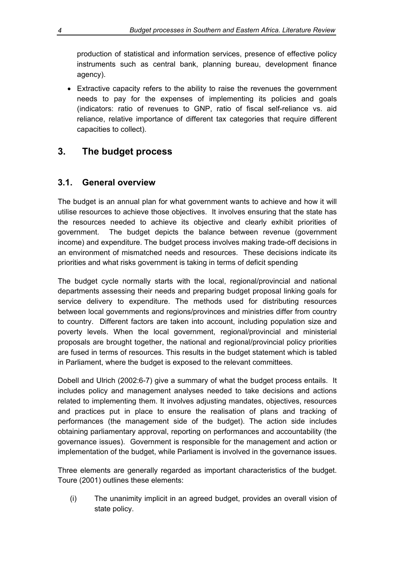<span id="page-11-0"></span>production of statistical and information services, presence of effective policy instruments such as central bank, planning bureau, development finance agency).

• Extractive capacity refers to the ability to raise the revenues the government needs to pay for the expenses of implementing its policies and goals (indicators: ratio of revenues to GNP, ratio of fiscal self-reliance vs. aid reliance, relative importance of different tax categories that require different capacities to collect).

## **3. The budget process**

### **3.1. General overview**

The budget is an annual plan for what government wants to achieve and how it will utilise resources to achieve those objectives. It involves ensuring that the state has the resources needed to achieve its objective and clearly exhibit priorities of government. The budget depicts the balance between revenue (government income) and expenditure. The budget process involves making trade-off decisions in an environment of mismatched needs and resources. These decisions indicate its priorities and what risks government is taking in terms of deficit spending

The budget cycle normally starts with the local, regional/provincial and national departments assessing their needs and preparing budget proposal linking goals for service delivery to expenditure. The methods used for distributing resources between local governments and regions/provinces and ministries differ from country to country. Different factors are taken into account, including population size and poverty levels. When the local government, regional/provincial and ministerial proposals are brought together, the national and regional/provincial policy priorities are fused in terms of resources. This results in the budget statement which is tabled in Parliament, where the budget is exposed to the relevant committees.

Dobell and Ulrich (2002:6-7) give a summary of what the budget process entails. It includes policy and management analyses needed to take decisions and actions related to implementing them. It involves adjusting mandates, objectives, resources and practices put in place to ensure the realisation of plans and tracking of performances (the management side of the budget). The action side includes obtaining parliamentary approval, reporting on performances and accountability (the governance issues). Government is responsible for the management and action or implementation of the budget, while Parliament is involved in the governance issues.

Three elements are generally regarded as important characteristics of the budget. Toure (2001) outlines these elements:

(i) The unanimity implicit in an agreed budget, provides an overall vision of state policy.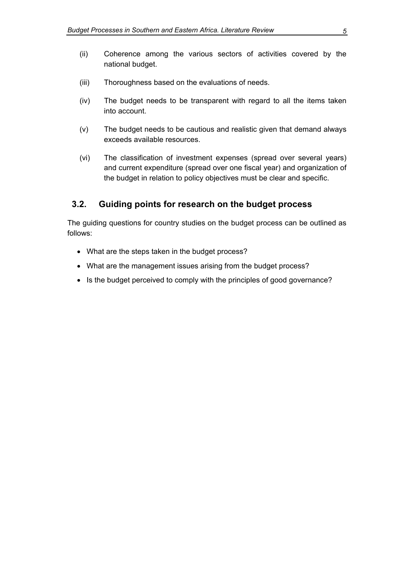- <span id="page-12-0"></span>(ii) Coherence among the various sectors of activities covered by the national budget.
- (iii) Thoroughness based on the evaluations of needs.
- (iv) The budget needs to be transparent with regard to all the items taken into account.
- (v) The budget needs to be cautious and realistic given that demand always exceeds available resources.
- (vi) The classification of investment expenses (spread over several years) and current expenditure (spread over one fiscal year) and organization of the budget in relation to policy objectives must be clear and specific.

#### **3.2. Guiding points for research on the budget process**

The guiding questions for country studies on the budget process can be outlined as follows:

- What are the steps taken in the budget process?
- What are the management issues arising from the budget process?
- Is the budget perceived to comply with the principles of good governance?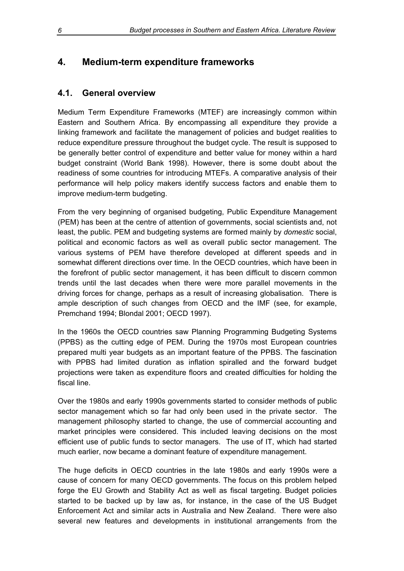## <span id="page-13-0"></span>**4. Medium-term expenditure frameworks**

### **4.1. General overview**

Medium Term Expenditure Frameworks (MTEF) are increasingly common within Eastern and Southern Africa. By encompassing all expenditure they provide a linking framework and facilitate the management of policies and budget realities to reduce expenditure pressure throughout the budget cycle. The result is supposed to be generally better control of expenditure and better value for money within a hard budget constraint (World Bank 1998). However, there is some doubt about the readiness of some countries for introducing MTEFs. A comparative analysis of their performance will help policy makers identify success factors and enable them to improve medium-term budgeting.

From the very beginning of organised budgeting, Public Expenditure Management (PEM) has been at the centre of attention of governments, social scientists and, not least, the public. PEM and budgeting systems are formed mainly by *domestic* social, political and economic factors as well as overall public sector management. The various systems of PEM have therefore developed at different speeds and in somewhat different directions over time. In the OECD countries, which have been in the forefront of public sector management, it has been difficult to discern common trends until the last decades when there were more parallel movements in the driving forces for change, perhaps as a result of increasing globalisation. There is ample description of such changes from OECD and the IMF (see, for example, Premchand 1994; Blondal 2001; OECD 1997).

In the 1960s the OECD countries saw Planning Programming Budgeting Systems (PPBS) as the cutting edge of PEM. During the 1970s most European countries prepared multi year budgets as an important feature of the PPBS. The fascination with PPBS had limited duration as inflation spiralled and the forward budget projections were taken as expenditure floors and created difficulties for holding the fiscal line.

Over the 1980s and early 1990s governments started to consider methods of public sector management which so far had only been used in the private sector. The management philosophy started to change, the use of commercial accounting and market principles were considered. This included leaving decisions on the most efficient use of public funds to sector managers. The use of IT, which had started much earlier, now became a dominant feature of expenditure management.

The huge deficits in OECD countries in the late 1980s and early 1990s were a cause of concern for many OECD governments. The focus on this problem helped forge the EU Growth and Stability Act as well as fiscal targeting. Budget policies started to be backed up by law as, for instance, in the case of the US Budget Enforcement Act and similar acts in Australia and New Zealand. There were also several new features and developments in institutional arrangements from the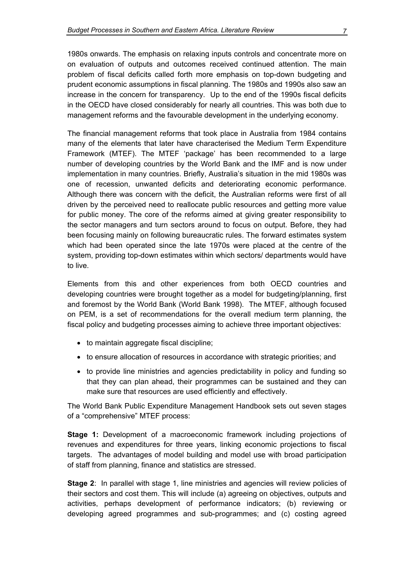1980s onwards. The emphasis on relaxing inputs controls and concentrate more on on evaluation of outputs and outcomes received continued attention. The main problem of fiscal deficits called forth more emphasis on top-down budgeting and prudent economic assumptions in fiscal planning. The 1980s and 1990s also saw an increase in the concern for transparency. Up to the end of the 1990s fiscal deficits in the OECD have closed considerably for nearly all countries. This was both due to management reforms and the favourable development in the underlying economy.

The financial management reforms that took place in Australia from 1984 contains many of the elements that later have characterised the Medium Term Expenditure Framework (MTEF). The MTEF 'package' has been recommended to a large number of developing countries by the World Bank and the IMF and is now under implementation in many countries. Briefly, Australia's situation in the mid 1980s was one of recession, unwanted deficits and deteriorating economic performance. Although there was concern with the deficit, the Australian reforms were first of all driven by the perceived need to reallocate public resources and getting more value for public money. The core of the reforms aimed at giving greater responsibility to the sector managers and turn sectors around to focus on output. Before, they had been focusing mainly on following bureaucratic rules. The forward estimates system which had been operated since the late 1970s were placed at the centre of the system, providing top-down estimates within which sectors/ departments would have to live.

Elements from this and other experiences from both OECD countries and developing countries were brought together as a model for budgeting/planning, first and foremost by the World Bank (World Bank 1998). The MTEF, although focused on PEM, is a set of recommendations for the overall medium term planning, the fiscal policy and budgeting processes aiming to achieve three important objectives:

- to maintain aggregate fiscal discipline;
- to ensure allocation of resources in accordance with strategic priorities; and
- to provide line ministries and agencies predictability in policy and funding so that they can plan ahead, their programmes can be sustained and they can make sure that resources are used efficiently and effectively.

The World Bank Public Expenditure Management Handbook sets out seven stages of a "comprehensive" MTEF process:

**Stage 1:** Development of a macroeconomic framework including projections of revenues and expenditures for three years, linking economic projections to fiscal targets. The advantages of model building and model use with broad participation of staff from planning, finance and statistics are stressed.

**Stage 2**: In parallel with stage 1, line ministries and agencies will review policies of their sectors and cost them. This will include (a) agreeing on objectives, outputs and activities, perhaps development of performance indicators; (b) reviewing or developing agreed programmes and sub-programmes; and (c) costing agreed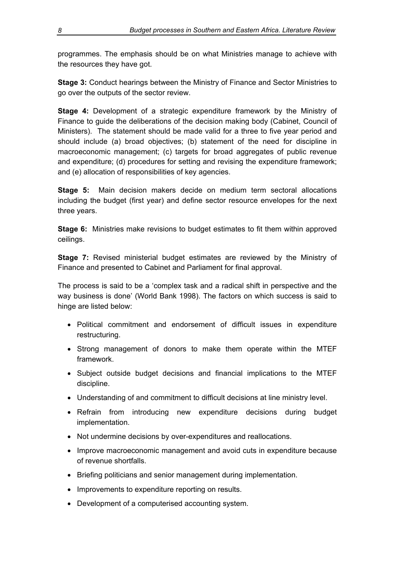programmes. The emphasis should be on what Ministries manage to achieve with the resources they have got.

**Stage 3:** Conduct hearings between the Ministry of Finance and Sector Ministries to go over the outputs of the sector review.

**Stage 4:** Development of a strategic expenditure framework by the Ministry of Finance to guide the deliberations of the decision making body (Cabinet, Council of Ministers). The statement should be made valid for a three to five year period and should include (a) broad objectives; (b) statement of the need for discipline in macroeconomic management; (c) targets for broad aggregates of public revenue and expenditure; (d) procedures for setting and revising the expenditure framework; and (e) allocation of responsibilities of key agencies.

**Stage 5:** Main decision makers decide on medium term sectoral allocations including the budget (first year) and define sector resource envelopes for the next three years.

**Stage 6:** Ministries make revisions to budget estimates to fit them within approved ceilings.

**Stage 7:** Revised ministerial budget estimates are reviewed by the Ministry of Finance and presented to Cabinet and Parliament for final approval.

The process is said to be a 'complex task and a radical shift in perspective and the way business is done' (World Bank 1998). The factors on which success is said to hinge are listed below:

- Political commitment and endorsement of difficult issues in expenditure restructuring.
- Strong management of donors to make them operate within the MTEF framework.
- Subject outside budget decisions and financial implications to the MTEF discipline.
- Understanding of and commitment to difficult decisions at line ministry level.
- Refrain from introducing new expenditure decisions during budget implementation.
- Not undermine decisions by over-expenditures and reallocations.
- Improve macroeconomic management and avoid cuts in expenditure because of revenue shortfalls.
- Briefing politicians and senior management during implementation.
- Improvements to expenditure reporting on results.
- Development of a computerised accounting system.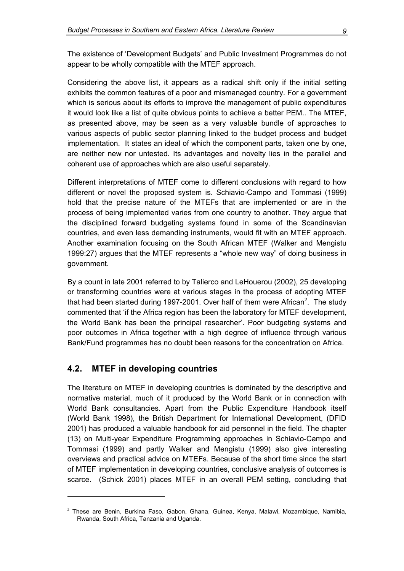<span id="page-16-0"></span>The existence of 'Development Budgets' and Public Investment Programmes do not appear to be wholly compatible with the MTEF approach.

Considering the above list, it appears as a radical shift only if the initial setting exhibits the common features of a poor and mismanaged country. For a government which is serious about its efforts to improve the management of public expenditures it would look like a list of quite obvious points to achieve a better PEM.. The MTEF, as presented above, may be seen as a very valuable bundle of approaches to various aspects of public sector planning linked to the budget process and budget implementation. It states an ideal of which the component parts, taken one by one, are neither new nor untested. Its advantages and novelty lies in the parallel and coherent use of approaches which are also useful separately.

Different interpretations of MTEF come to different conclusions with regard to how different or novel the proposed system is. Schiavio-Campo and Tommasi (1999) hold that the precise nature of the MTEFs that are implemented or are in the process of being implemented varies from one country to another. They argue that the disciplined forward budgeting systems found in some of the Scandinavian countries, and even less demanding instruments, would fit with an MTEF approach. Another examination focusing on the South African MTEF (Walker and Mengistu 1999:27) argues that the MTEF represents a "whole new way" of doing business in government.

By a count in late 2001 referred to by Talierco and LeHouerou (2002), 25 developing or transforming countries were at various stages in the process of adopting MTEF that had been started during 1997-[2](#page-16-1)001. Over half of them were African<sup>2</sup>. The study commented that 'if the Africa region has been the laboratory for MTEF development, the World Bank has been the principal researcher'. Poor budgeting systems and poor outcomes in Africa together with a high degree of influence through various Bank/Fund programmes has no doubt been reasons for the concentration on Africa.

#### **4.2. MTEF in developing countries**

The literature on MTEF in developing countries is dominated by the descriptive and normative material, much of it produced by the World Bank or in connection with World Bank consultancies. Apart from the Public Expenditure Handbook itself (World Bank 1998), the British Department for International Development, (DFID 2001) has produced a valuable handbook for aid personnel in the field. The chapter (13) on Multi-year Expenditure Programming approaches in Schiavio-Campo and Tommasi (1999) and partly Walker and Mengistu (1999) also give interesting overviews and practical advice on MTEFs. Because of the short time since the start of MTEF implementation in developing countries, conclusive analysis of outcomes is scarce. (Schick 2001) places MTEF in an overall PEM setting, concluding that

<span id="page-16-1"></span><sup>2</sup> These are Benin, Burkina Faso, Gabon, Ghana, Guinea, Kenya, Malawi, Mozambique, Namibia, Rwanda, South Africa, Tanzania and Uganda.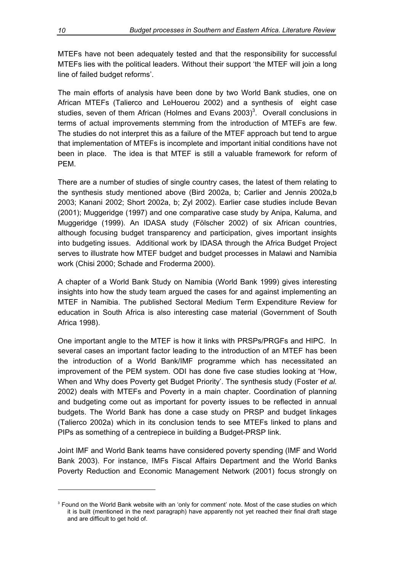MTEFs have not been adequately tested and that the responsibility for successful MTEFs lies with the political leaders. Without their support 'the MTEF will join a long line of failed budget reforms'.

The main efforts of analysis have been done by two World Bank studies, one on African MTEFs (Talierco and LeHouerou 2002) and a synthesis of eight case studies, seven of them African (Holmes and Evans 2003)<sup>3</sup>. Overall conclusions in terms of actual improvements stemming from the introduction of MTEFs are few. The studies do not interpret this as a failure of the MTEF approach but tend to argue that implementation of MTEFs is incomplete and important initial conditions have not been in place. The idea is that MTEF is still a valuable framework for reform of PEM.

There are a number of studies of single country cases, the latest of them relating to the synthesis study mentioned above (Bird 2002a, b; Carlier and Jennis 2002a,b 2003; Kanani 2002; Short 2002a, b; Zyl 2002). Earlier case studies include Bevan (2001); Muggeridge (1997) and one comparative case study by Anipa, Kaluma, and Muggeridge (1999). An IDASA study (Fölscher 2002) of six African countries, although focusing budget transparency and participation, gives important insights into budgeting issues. Additional work by IDASA through the Africa Budget Project serves to illustrate how MTEF budget and budget processes in Malawi and Namibia work (Chisi 2000; Schade and Froderma 2000).

A chapter of a World Bank Study on Namibia (World Bank 1999) gives interesting insights into how the study team argued the cases for and against implementing an MTEF in Namibia. The published Sectoral Medium Term Expenditure Review for education in South Africa is also interesting case material (Government of South Africa 1998).

One important angle to the MTEF is how it links with PRSPs/PRGFs and HIPC. In several cases an important factor leading to the introduction of an MTEF has been the introduction of a World Bank/IMF programme which has necessitated an improvement of the PEM system. ODI has done five case studies looking at 'How, When and Why does Poverty get Budget Priority'. The synthesis study (Foster *et al.*  2002) deals with MTEFs and Poverty in a main chapter. Coordination of planning and budgeting come out as important for poverty issues to be reflected in annual budgets. The World Bank has done a case study on PRSP and budget linkages (Talierco 2002a) which in its conclusion tends to see MTEFs linked to plans and PIPs as something of a centrepiece in building a Budget-PRSP link.

Joint IMF and World Bank teams have considered poverty spending (IMF and World Bank 2003). For instance, IMFs Fiscal Affairs Department and the World Banks Poverty Reduction and Economic Management Network (2001) focus strongly on

 $\overline{a}$ 

<span id="page-17-0"></span><sup>&</sup>lt;sup>3</sup> Found on the World Bank website with an 'only for comment' note. Most of the case studies on which it is built (mentioned in the next paragraph) have apparently not yet reached their final draft stage and are difficult to get hold of.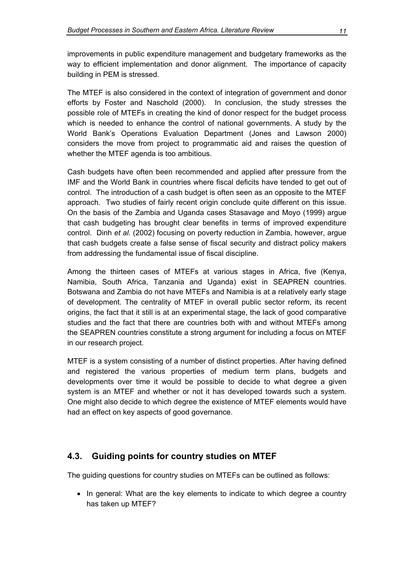<span id="page-18-0"></span>improvements in public expenditure management and budgetary frameworks as the way to efficient implementation and donor alignment. The importance of capacity building in PEM is stressed.

The MTEF is also considered in the context of integration of government and donor efforts by Foster and Naschold (2000). In conclusion, the study stresses the possible role of MTEFs in creating the kind of donor respect for the budget process which is needed to enhance the control of national governments. A study by the World Bank's Operations Evaluation Department (Jones and Lawson 2000) considers the move from project to programmatic aid and raises the question of whether the MTEF agenda is too ambitious.

Cash budgets have often been recommended and applied after pressure from the IMF and the World Bank in countries where fiscal deficits have tended to get out of control. The introduction of a cash budget is often seen as an opposite to the MTEF approach. Two studies of fairly recent origin conclude quite different on this issue. On the basis of the Zambia and Uganda cases Stasavage and Moyo (1999) argue that cash budgeting has brought clear benefits in terms of improved expenditure control. Dinh *et al.* (2002) focusing on poverty reduction in Zambia, however, argue that cash budgets create a false sense of fiscal security and distract policy makers from addressing the fundamental issue of fiscal discipline.

Among the thirteen cases of MTEFs at various stages in Africa, five (Kenya, Namibia, South Africa, Tanzania and Uganda) exist in SEAPREN countries. Botswana and Zambia do not have MTEFs and Namibia is at a relatively early stage of development. The centrality of MTEF in overall public sector reform, its recent origins, the fact that it still is at an experimental stage, the lack of good comparative studies and the fact that there are countries both with and without MTEFs among the SEAPREN countries constitute a strong argument for including a focus on MTEF in our research project.

MTEF is a system consisting of a number of distinct properties. After having defined and registered the various properties of medium term plans, budgets and developments over time it would be possible to decide to what degree a given system is an MTEF and whether or not it has developed towards such a system. One might also decide to which degree the existence of MTEF elements would have had an effect on key aspects of good governance.

#### **4.3. Guiding points for country studies on MTEF**

The guiding questions for country studies on MTEFs can be outlined as follows:

• In general: What are the key elements to indicate to which degree a country has taken up MTEF?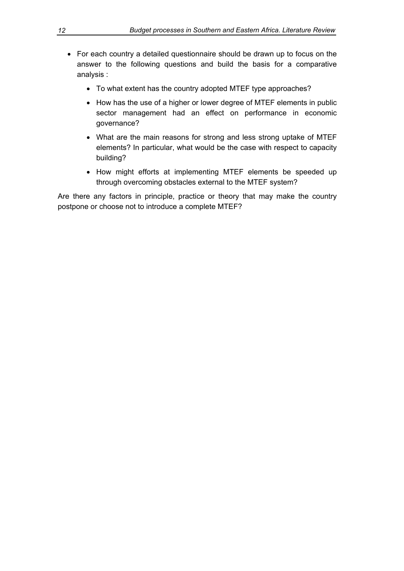- For each country a detailed questionnaire should be drawn up to focus on the answer to the following questions and build the basis for a comparative analysis :
	- To what extent has the country adopted MTEF type approaches?
	- How has the use of a higher or lower degree of MTEF elements in public sector management had an effect on performance in economic governance?
	- What are the main reasons for strong and less strong uptake of MTEF elements? In particular, what would be the case with respect to capacity building?
	- How might efforts at implementing MTEF elements be speeded up through overcoming obstacles external to the MTEF system?

Are there any factors in principle, practice or theory that may make the country postpone or choose not to introduce a complete MTEF?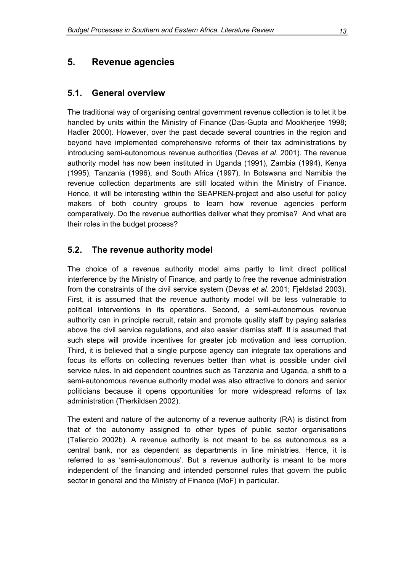## <span id="page-20-0"></span>**5. Revenue agencies**

#### **5.1. General overview**

The traditional way of organising central government revenue collection is to let it be handled by units within the Ministry of Finance (Das-Gupta and Mookherjee 1998; Hadler 2000). However, over the past decade several countries in the region and beyond have implemented comprehensive reforms of their tax administrations by introducing semi-autonomous revenue authorities (Devas *et al*. 2001). The revenue authority model has now been instituted in Uganda (1991), Zambia (1994), Kenya (1995), Tanzania (1996), and South Africa (1997). In Botswana and Namibia the revenue collection departments are still located within the Ministry of Finance. Hence, it will be interesting within the SEAPREN-project and also useful for policy makers of both country groups to learn how revenue agencies perform comparatively. Do the revenue authorities deliver what they promise? And what are their roles in the budget process?

## **5.2. The revenue authority model**

The choice of a revenue authority model aims partly to limit direct political interference by the Ministry of Finance, and partly to free the revenue administration from the constraints of the civil service system (Devas *et al.* 2001; Fjeldstad 2003). First, it is assumed that the revenue authority model will be less vulnerable to political interventions in its operations. Second, a semi-autonomous revenue authority can in principle recruit, retain and promote quality staff by paying salaries above the civil service regulations, and also easier dismiss staff. It is assumed that such steps will provide incentives for greater job motivation and less corruption. Third, it is believed that a single purpose agency can integrate tax operations and focus its efforts on collecting revenues better than what is possible under civil service rules. In aid dependent countries such as Tanzania and Uganda, a shift to a semi-autonomous revenue authority model was also attractive to donors and senior politicians because it opens opportunities for more widespread reforms of tax administration (Therkildsen 2002).

The extent and nature of the autonomy of a revenue authority (RA) is distinct from that of the autonomy assigned to other types of public sector organisations (Taliercio 2002b). A revenue authority is not meant to be as autonomous as a central bank, nor as dependent as departments in line ministries. Hence, it is referred to as 'semi-autonomous'. But a revenue authority is meant to be more independent of the financing and intended personnel rules that govern the public sector in general and the Ministry of Finance (MoF) in particular.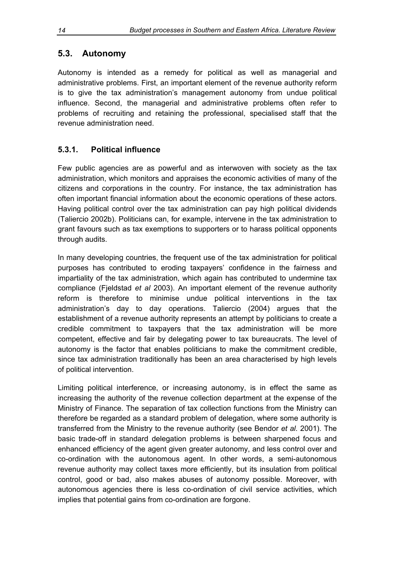## <span id="page-21-0"></span>**5.3. Autonomy**

Autonomy is intended as a remedy for political as well as managerial and administrative problems. First, an important element of the revenue authority reform is to give the tax administration's management autonomy from undue political influence. Second, the managerial and administrative problems often refer to problems of recruiting and retaining the professional, specialised staff that the revenue administration need.

### **5.3.1. Political influence**

Few public agencies are as powerful and as interwoven with society as the tax administration, which monitors and appraises the economic activities of many of the citizens and corporations in the country. For instance, the tax administration has often important financial information about the economic operations of these actors. Having political control over the tax administration can pay high political dividends (Taliercio 2002b). Politicians can, for example, intervene in the tax administration to grant favours such as tax exemptions to supporters or to harass political opponents through audits.

In many developing countries, the frequent use of the tax administration for political purposes has contributed to eroding taxpayers' confidence in the fairness and impartiality of the tax administration, which again has contributed to undermine tax compliance (Fjeldstad *et al* 2003). An important element of the revenue authority reform is therefore to minimise undue political interventions in the tax administration's day to day operations. Taliercio (2004) argues that the establishment of a revenue authority represents an attempt by politicians to create a credible commitment to taxpayers that the tax administration will be more competent, effective and fair by delegating power to tax bureaucrats. The level of autonomy is the factor that enables politicians to make the commitment credible, since tax administration traditionally has been an area characterised by high levels of political intervention.

Limiting political interference, or increasing autonomy, is in effect the same as increasing the authority of the revenue collection department at the expense of the Ministry of Finance. The separation of tax collection functions from the Ministry can therefore be regarded as a standard problem of delegation, where some authority is transferred from the Ministry to the revenue authority (see Bendor *et al.* 2001). The basic trade-off in standard delegation problems is between sharpened focus and enhanced efficiency of the agent given greater autonomy, and less control over and co-ordination with the autonomous agent. In other words, a semi-autonomous revenue authority may collect taxes more efficiently, but its insulation from political control, good or bad, also makes abuses of autonomy possible. Moreover, with autonomous agencies there is less co-ordination of civil service activities, which implies that potential gains from co-ordination are forgone.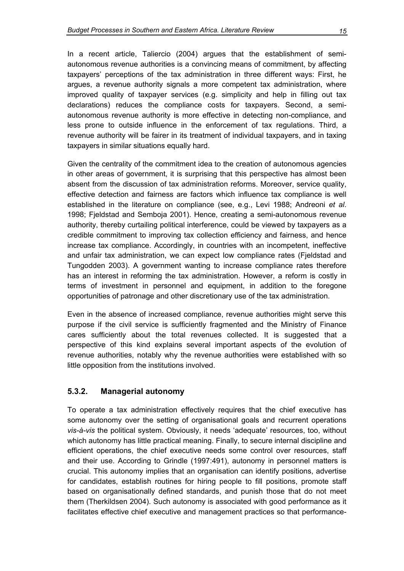<span id="page-22-0"></span>In a recent article, Taliercio (2004) argues that the establishment of semiautonomous revenue authorities is a convincing means of commitment, by affecting taxpayers' perceptions of the tax administration in three different ways: First, he argues, a revenue authority signals a more competent tax administration, where improved quality of taxpayer services (e.g. simplicity and help in filling out tax declarations) reduces the compliance costs for taxpayers. Second, a semiautonomous revenue authority is more effective in detecting non-compliance, and less prone to outside influence in the enforcement of tax regulations. Third, a revenue authority will be fairer in its treatment of individual taxpayers, and in taxing taxpayers in similar situations equally hard.

Given the centrality of the commitment idea to the creation of autonomous agencies in other areas of government, it is surprising that this perspective has almost been absent from the discussion of tax administration reforms. Moreover, service quality, effective detection and fairness are factors which influence tax compliance is well established in the literature on compliance (see, e.g., Levi 1988; Andreoni *et al*. 1998; Fjeldstad and Semboja 2001). Hence, creating a semi-autonomous revenue authority, thereby curtailing political interference, could be viewed by taxpayers as a credible commitment to improving tax collection efficiency and fairness, and hence increase tax compliance. Accordingly, in countries with an incompetent, ineffective and unfair tax administration, we can expect low compliance rates (Fjeldstad and Tungodden 2003). A government wanting to increase compliance rates therefore has an interest in reforming the tax administration. However, a reform is costly in terms of investment in personnel and equipment, in addition to the foregone opportunities of patronage and other discretionary use of the tax administration.

Even in the absence of increased compliance, revenue authorities might serve this purpose if the civil service is sufficiently fragmented and the Ministry of Finance cares sufficiently about the total revenues collected. It is suggested that a perspective of this kind explains several important aspects of the evolution of revenue authorities, notably why the revenue authorities were established with so little opposition from the institutions involved.

#### **5.3.2. Managerial autonomy**

To operate a tax administration effectively requires that the chief executive has some autonomy over the setting of organisational goals and recurrent operations *vis-à-vis* the political system. Obviously, it needs 'adequate' resources, too, without which autonomy has little practical meaning. Finally, to secure internal discipline and efficient operations, the chief executive needs some control over resources, staff and their use. According to Grindle (1997:491), autonomy in personnel matters is crucial. This autonomy implies that an organisation can identify positions, advertise for candidates, establish routines for hiring people to fill positions, promote staff based on organisationally defined standards, and punish those that do not meet them (Therkildsen 2004). Such autonomy is associated with good performance as it facilitates effective chief executive and management practices so that performance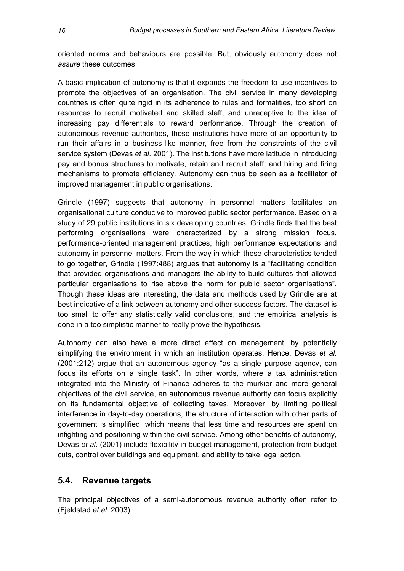<span id="page-23-0"></span>oriented norms and behaviours are possible. But, obviously autonomy does not *assure* these outcomes.

A basic implication of autonomy is that it expands the freedom to use incentives to promote the objectives of an organisation. The civil service in many developing countries is often quite rigid in its adherence to rules and formalities, too short on resources to recruit motivated and skilled staff, and unreceptive to the idea of increasing pay differentials to reward performance. Through the creation of autonomous revenue authorities, these institutions have more of an opportunity to run their affairs in a business-like manner, free from the constraints of the civil service system (Devas *et al*. 2001). The institutions have more latitude in introducing pay and bonus structures to motivate, retain and recruit staff, and hiring and firing mechanisms to promote efficiency. Autonomy can thus be seen as a facilitator of improved management in public organisations.

Grindle (1997) suggests that autonomy in personnel matters facilitates an organisational culture conducive to improved public sector performance. Based on a study of 29 public institutions in six developing countries, Grindle finds that the best performing organisations were characterized by a strong mission focus, performance-oriented management practices, high performance expectations and autonomy in personnel matters. From the way in which these characteristics tended to go together, Grindle (1997:488) argues that autonomy is a "facilitating condition that provided organisations and managers the ability to build cultures that allowed particular organisations to rise above the norm for public sector organisations". Though these ideas are interesting, the data and methods used by Grindle are at best indicative of a link between autonomy and other success factors. The dataset is too small to offer any statistically valid conclusions, and the empirical analysis is done in a too simplistic manner to really prove the hypothesis.

Autonomy can also have a more direct effect on management, by potentially simplifying the environment in which an institution operates. Hence, Devas *et al.* (2001:212) argue that an autonomous agency "as a single purpose agency, can focus its efforts on a single task". In other words, where a tax administration integrated into the Ministry of Finance adheres to the murkier and more general objectives of the civil service, an autonomous revenue authority can focus explicitly on its fundamental objective of collecting taxes. Moreover, by limiting political interference in day-to-day operations, the structure of interaction with other parts of government is simplified, which means that less time and resources are spent on infighting and positioning within the civil service. Among other benefits of autonomy, Devas *et al.* (2001) include flexibility in budget management, protection from budget cuts, control over buildings and equipment, and ability to take legal action.

#### **5.4. Revenue targets**

The principal objectives of a semi-autonomous revenue authority often refer to (Fjeldstad *et al.* 2003):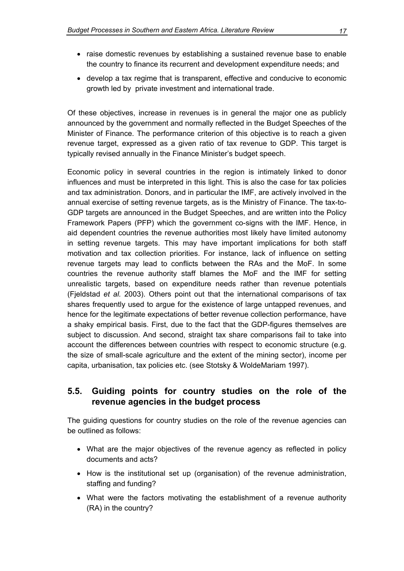- <span id="page-24-0"></span>• raise domestic revenues by establishing a sustained revenue base to enable the country to finance its recurrent and development expenditure needs; and
- develop a tax regime that is transparent, effective and conducive to economic growth led by private investment and international trade.

Of these objectives, increase in revenues is in general the major one as publicly announced by the government and normally reflected in the Budget Speeches of the Minister of Finance. The performance criterion of this objective is to reach a given revenue target, expressed as a given ratio of tax revenue to GDP. This target is typically revised annually in the Finance Minister's budget speech.

Economic policy in several countries in the region is intimately linked to donor influences and must be interpreted in this light. This is also the case for tax policies and tax administration. Donors, and in particular the IMF, are actively involved in the annual exercise of setting revenue targets, as is the Ministry of Finance. The tax-to-GDP targets are announced in the Budget Speeches, and are written into the Policy Framework Papers (PFP) which the government co-signs with the IMF. Hence, in aid dependent countries the revenue authorities most likely have limited autonomy in setting revenue targets. This may have important implications for both staff motivation and tax collection priorities. For instance, lack of influence on setting revenue targets may lead to conflicts between the RAs and the MoF. In some countries the revenue authority staff blames the MoF and the IMF for setting unrealistic targets, based on expenditure needs rather than revenue potentials (Fjeldstad *et al.* 2003). Others point out that the international comparisons of tax shares frequently used to arque for the existence of large untapped revenues, and hence for the legitimate expectations of better revenue collection performance, have a shaky empirical basis. First, due to the fact that the GDP-figures themselves are subject to discussion. And second, straight tax share comparisons fail to take into account the differences between countries with respect to economic structure (e.g. the size of small-scale agriculture and the extent of the mining sector), income per capita, urbanisation, tax policies etc. (see Stotsky & WoldeMariam 1997).

### **5.5. Guiding points for country studies on the role of the revenue agencies in the budget process**

The guiding questions for country studies on the role of the revenue agencies can be outlined as follows:

- What are the major objectives of the revenue agency as reflected in policy documents and acts?
- How is the institutional set up (organisation) of the revenue administration, staffing and funding?
- What were the factors motivating the establishment of a revenue authority (RA) in the country?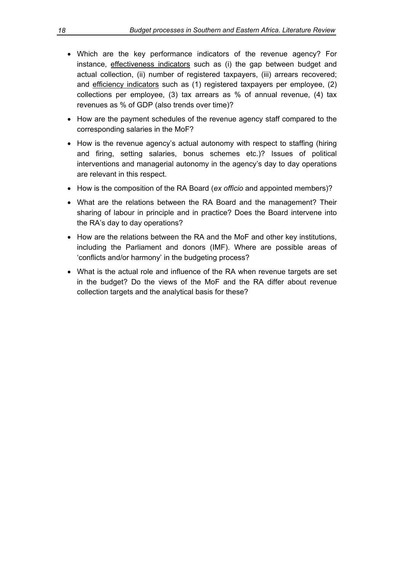- Which are the key performance indicators of the revenue agency? For instance, effectiveness indicators such as (i) the gap between budget and actual collection, (ii) number of registered taxpayers, (iii) arrears recovered; and efficiency indicators such as (1) registered taxpayers per employee, (2) collections per employee, (3) tax arrears as % of annual revenue, (4) tax revenues as % of GDP (also trends over time)?
- How are the payment schedules of the revenue agency staff compared to the corresponding salaries in the MoF?
- How is the revenue agency's actual autonomy with respect to staffing (hiring and firing, setting salaries, bonus schemes etc.)? Issues of political interventions and managerial autonomy in the agency's day to day operations are relevant in this respect.
- How is the composition of the RA Board (*ex officio* and appointed members)?
- What are the relations between the RA Board and the management? Their sharing of labour in principle and in practice? Does the Board intervene into the RA's day to day operations?
- How are the relations between the RA and the MoF and other key institutions, including the Parliament and donors (IMF). Where are possible areas of 'conflicts and/or harmony' in the budgeting process?
- What is the actual role and influence of the RA when revenue targets are set in the budget? Do the views of the MoF and the RA differ about revenue collection targets and the analytical basis for these?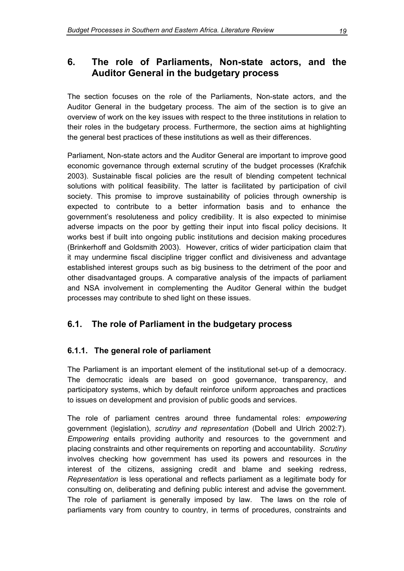## <span id="page-26-0"></span>**6. The role of Parliaments, Non-state actors, and the Auditor General in the budgetary process**

The section focuses on the role of the Parliaments, Non-state actors, and the Auditor General in the budgetary process. The aim of the section is to give an overview of work on the key issues with respect to the three institutions in relation to their roles in the budgetary process. Furthermore, the section aims at highlighting the general best practices of these institutions as well as their differences.

Parliament, Non-state actors and the Auditor General are important to improve good economic governance through external scrutiny of the budget processes (Krafchik 2003). Sustainable fiscal policies are the result of blending competent technical solutions with political feasibility. The latter is facilitated by participation of civil society. This promise to improve sustainability of policies through ownership is expected to contribute to a better information basis and to enhance the government's resoluteness and policy credibility. It is also expected to minimise adverse impacts on the poor by getting their input into fiscal policy decisions. It works best if built into ongoing public institutions and decision making procedures (Brinkerhoff and Goldsmith 2003). However, critics of wider participation claim that it may undermine fiscal discipline trigger conflict and divisiveness and advantage established interest groups such as big business to the detriment of the poor and other disadvantaged groups. A comparative analysis of the impacts of parliament and NSA involvement in complementing the Auditor General within the budget processes may contribute to shed light on these issues.

## **6.1. The role of Parliament in the budgetary process**

#### **6.1.1. The general role of parliament**

The Parliament is an important element of the institutional set-up of a democracy. The democratic ideals are based on good governance, transparency, and participatory systems, which by default reinforce uniform approaches and practices to issues on development and provision of public goods and services.

The role of parliament centres around three fundamental roles: *empowering* government (legislation), *scrutiny and representation* (Dobell and Ulrich 2002:7)*. Empowering* entails providing authority and resources to the government and placing constraints and other requirements on reporting and accountability. *Scrutiny* involves checking how government has used its powers and resources in the interest of the citizens, assigning credit and blame and seeking redress, *Representation* is less operational and reflects parliament as a legitimate body for consulting on, deliberating and defining public interest and advise the government*.*  The role of parliament is generally imposed by law. The laws on the role of parliaments vary from country to country, in terms of procedures, constraints and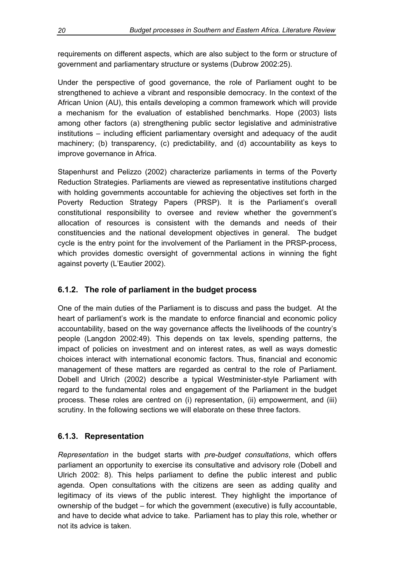<span id="page-27-0"></span>requirements on different aspects, which are also subject to the form or structure of government and parliamentary structure or systems (Dubrow 2002:25).

Under the perspective of good governance, the role of Parliament ought to be strengthened to achieve a vibrant and responsible democracy. In the context of the African Union (AU), this entails developing a common framework which will provide a mechanism for the evaluation of established benchmarks. Hope (2003) lists among other factors (a) strengthening public sector legislative and administrative institutions – including efficient parliamentary oversight and adequacy of the audit machinery; (b) transparency, (c) predictability, and (d) accountability as keys to improve governance in Africa.

Stapenhurst and Pelizzo (2002) characterize parliaments in terms of the Poverty Reduction Strategies. Parliaments are viewed as representative institutions charged with holding governments accountable for achieving the objectives set forth in the Poverty Reduction Strategy Papers (PRSP). It is the Parliament's overall constitutional responsibility to oversee and review whether the government's allocation of resources is consistent with the demands and needs of their constituencies and the national development objectives in general. The budget cycle is the entry point for the involvement of the Parliament in the PRSP-process, which provides domestic oversight of governmental actions in winning the fight against poverty (L'Eautier 2002).

### **6.1.2. The role of parliament in the budget process**

One of the main duties of the Parliament is to discuss and pass the budget. At the heart of parliament's work is the mandate to enforce financial and economic policy accountability, based on the way governance affects the livelihoods of the country's people (Langdon 2002:49). This depends on tax levels, spending patterns, the impact of policies on investment and on interest rates, as well as ways domestic choices interact with international economic factors. Thus, financial and economic management of these matters are regarded as central to the role of Parliament. Dobell and Ulrich (2002) describe a typical Westminister-style Parliament with regard to the fundamental roles and engagement of the Parliament in the budget process. These roles are centred on (i) representation, (ii) empowerment, and (iii) scrutiny. In the following sections we will elaborate on these three factors.

#### **6.1.3. Representation**

*Representation* in the budget starts with *pre-budget consultations*, which offers parliament an opportunity to exercise its consultative and advisory role (Dobell and Ulrich 2002: 8). This helps parliament to define the public interest and public agenda. Open consultations with the citizens are seen as adding quality and legitimacy of its views of the public interest. They highlight the importance of ownership of the budget – for which the government (executive) is fully accountable, and have to decide what advice to take. Parliament has to play this role, whether or not its advice is taken.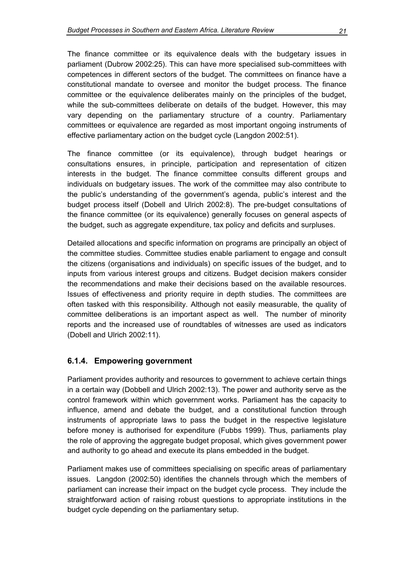<span id="page-28-0"></span>The finance committee or its equivalence deals with the budgetary issues in parliament (Dubrow 2002:25). This can have more specialised sub-committees with competences in different sectors of the budget. The committees on finance have a constitutional mandate to oversee and monitor the budget process. The finance committee or the equivalence deliberates mainly on the principles of the budget, while the sub-committees deliberate on details of the budget. However, this may vary depending on the parliamentary structure of a country. Parliamentary committees or equivalence are regarded as most important ongoing instruments of effective parliamentary action on the budget cycle (Langdon 2002:51).

The finance committee (or its equivalence), through budget hearings or consultations ensures, in principle, participation and representation of citizen interests in the budget. The finance committee consults different groups and individuals on budgetary issues. The work of the committee may also contribute to the public's understanding of the government's agenda, public's interest and the budget process itself (Dobell and Ulrich 2002:8). The pre-budget consultations of the finance committee (or its equivalence) generally focuses on general aspects of the budget, such as aggregate expenditure, tax policy and deficits and surpluses.

Detailed allocations and specific information on programs are principally an object of the committee studies. Committee studies enable parliament to engage and consult the citizens (organisations and individuals) on specific issues of the budget, and to inputs from various interest groups and citizens. Budget decision makers consider the recommendations and make their decisions based on the available resources. Issues of effectiveness and priority require in depth studies. The committees are often tasked with this responsibility. Although not easily measurable, the quality of committee deliberations is an important aspect as well. The number of minority reports and the increased use of roundtables of witnesses are used as indicators (Dobell and Ulrich 2002:11).

#### **6.1.4. Empowering government**

Parliament provides authority and resources to government to achieve certain things in a certain way (Dobbell and Ulrich 2002:13). The power and authority serve as the control framework within which government works. Parliament has the capacity to influence, amend and debate the budget, and a constitutional function through instruments of appropriate laws to pass the budget in the respective legislature before money is authorised for expenditure (Fubbs 1999). Thus, parliaments play the role of approving the aggregate budget proposal, which gives government power and authority to go ahead and execute its plans embedded in the budget.

Parliament makes use of committees specialising on specific areas of parliamentary issues. Langdon (2002:50) identifies the channels through which the members of parliament can increase their impact on the budget cycle process. They include the straightforward action of raising robust questions to appropriate institutions in the budget cycle depending on the parliamentary setup.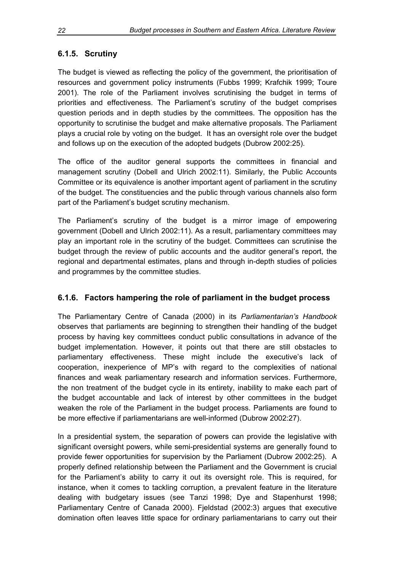### <span id="page-29-0"></span>**6.1.5. Scrutiny**

The budget is viewed as reflecting the policy of the government, the prioritisation of resources and government policy instruments (Fubbs 1999; Krafchik 1999; Toure 2001). The role of the Parliament involves scrutinising the budget in terms of priorities and effectiveness. The Parliament's scrutiny of the budget comprises question periods and in depth studies by the committees. The opposition has the opportunity to scrutinise the budget and make alternative proposals. The Parliament plays a crucial role by voting on the budget. It has an oversight role over the budget and follows up on the execution of the adopted budgets (Dubrow 2002:25).

The office of the auditor general supports the committees in financial and management scrutiny (Dobell and Ulrich 2002:11). Similarly, the Public Accounts Committee or its equivalence is another important agent of parliament in the scrutiny of the budget. The constituencies and the public through various channels also form part of the Parliament's budget scrutiny mechanism.

The Parliament's scrutiny of the budget is a mirror image of empowering government (Dobell and Ulrich 2002:11). As a result, parliamentary committees may play an important role in the scrutiny of the budget. Committees can scrutinise the budget through the review of public accounts and the auditor general's report, the regional and departmental estimates, plans and through in-depth studies of policies and programmes by the committee studies.

#### **6.1.6. Factors hampering the role of parliament in the budget process**

The Parliamentary Centre of Canada (2000) in its *Parliamentarian's Handbook*  observes that parliaments are beginning to strengthen their handling of the budget process by having key committees conduct public consultations in advance of the budget implementation. However, it points out that there are still obstacles to parliamentary effectiveness. These might include the executive's lack of cooperation, inexperience of MP's with regard to the complexities of national finances and weak parliamentary research and information services. Furthermore, the non treatment of the budget cycle in its entirety, inability to make each part of the budget accountable and lack of interest by other committees in the budget weaken the role of the Parliament in the budget process. Parliaments are found to be more effective if parliamentarians are well-informed (Dubrow 2002:27).

In a presidential system, the separation of powers can provide the legislative with significant oversight powers, while semi-presidential systems are generally found to provide fewer opportunities for supervision by the Parliament (Dubrow 2002:25). A properly defined relationship between the Parliament and the Government is crucial for the Parliament's ability to carry it out its oversight role. This is required, for instance, when it comes to tackling corruption, a prevalent feature in the literature dealing with budgetary issues (see Tanzi 1998; Dye and Stapenhurst 1998; Parliamentary Centre of Canada 2000). Fjeldstad (2002:3) argues that executive domination often leaves little space for ordinary parliamentarians to carry out their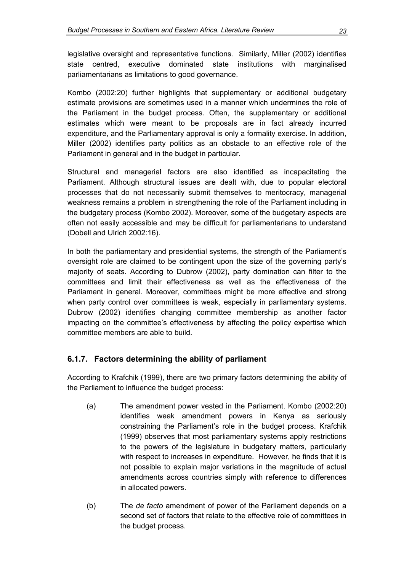<span id="page-30-0"></span>legislative oversight and representative functions. Similarly, Miller (2002) identifies state centred, executive dominated state institutions with marginalised parliamentarians as limitations to good governance.

Kombo (2002:20) further highlights that supplementary or additional budgetary estimate provisions are sometimes used in a manner which undermines the role of the Parliament in the budget process. Often, the supplementary or additional estimates which were meant to be proposals are in fact already incurred expenditure, and the Parliamentary approval is only a formality exercise. In addition, Miller (2002) identifies party politics as an obstacle to an effective role of the Parliament in general and in the budget in particular.

Structural and managerial factors are also identified as incapacitating the Parliament. Although structural issues are dealt with, due to popular electoral processes that do not necessarily submit themselves to meritocracy, managerial weakness remains a problem in strengthening the role of the Parliament including in the budgetary process (Kombo 2002). Moreover, some of the budgetary aspects are often not easily accessible and may be difficult for parliamentarians to understand (Dobell and Ulrich 2002:16).

In both the parliamentary and presidential systems, the strength of the Parliament's oversight role are claimed to be contingent upon the size of the governing party's majority of seats. According to Dubrow (2002), party domination can filter to the committees and limit their effectiveness as well as the effectiveness of the Parliament in general. Moreover, committees might be more effective and strong when party control over committees is weak, especially in parliamentary systems. Dubrow (2002) identifies changing committee membership as another factor impacting on the committee's effectiveness by affecting the policy expertise which committee members are able to build.

#### **6.1.7. Factors determining the ability of parliament**

According to Krafchik (1999), there are two primary factors determining the ability of the Parliament to influence the budget process:

- (a) The amendment power vested in the Parliament. Kombo (2002:20) identifies weak amendment powers in Kenya as seriously constraining the Parliament's role in the budget process. Krafchik (1999) observes that most parliamentary systems apply restrictions to the powers of the legislature in budgetary matters, particularly with respect to increases in expenditure. However, he finds that it is not possible to explain major variations in the magnitude of actual amendments across countries simply with reference to differences in allocated powers.
- (b) The *de facto* amendment of power of the Parliament depends on a second set of factors that relate to the effective role of committees in the budget process.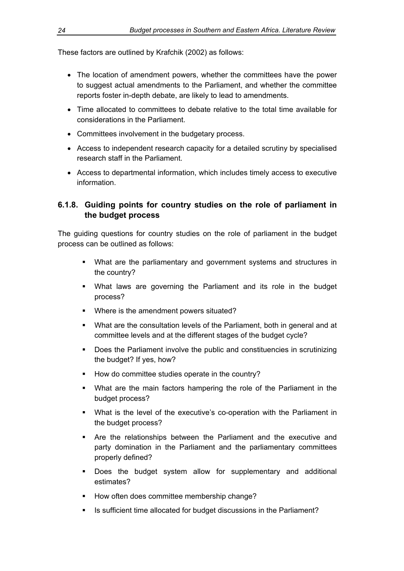<span id="page-31-0"></span>These factors are outlined by Krafchik (2002) as follows:

- The location of amendment powers, whether the committees have the power to suggest actual amendments to the Parliament, and whether the committee reports foster in-depth debate, are likely to lead to amendments.
- Time allocated to committees to debate relative to the total time available for considerations in the Parliament.
- Committees involvement in the budgetary process.
- Access to independent research capacity for a detailed scrutiny by specialised research staff in the Parliament.
- Access to departmental information, which includes timely access to executive information.

#### **6.1.8. Guiding points for country studies on the role of parliament in the budget process**

The guiding questions for country studies on the role of parliament in the budget process can be outlined as follows:

- What are the parliamentary and government systems and structures in the country?
- What laws are governing the Parliament and its role in the budget process?
- Where is the amendment powers situated?
- What are the consultation levels of the Parliament, both in general and at committee levels and at the different stages of the budget cycle?
- Does the Parliament involve the public and constituencies in scrutinizing the budget? If yes, how?
- How do committee studies operate in the country?
- What are the main factors hampering the role of the Parliament in the budget process?
- What is the level of the executive's co-operation with the Parliament in the budget process?
- Are the relationships between the Parliament and the executive and party domination in the Parliament and the parliamentary committees properly defined?
- **-** Does the budget system allow for supplementary and additional estimates?
- How often does committee membership change?
- Is sufficient time allocated for budget discussions in the Parliament?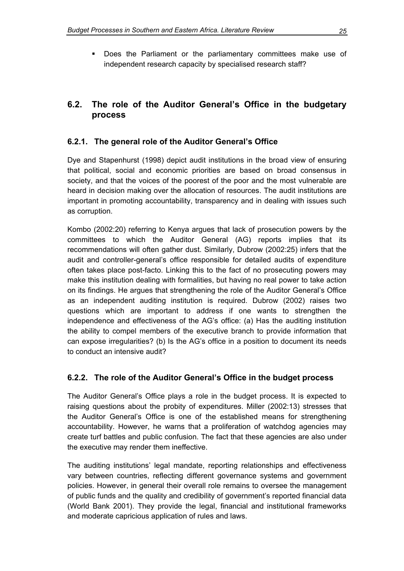<span id="page-32-0"></span> Does the Parliament or the parliamentary committees make use of independent research capacity by specialised research staff?

## **6.2. The role of the Auditor General's Office in the budgetary process**

#### **6.2.1. The general role of the Auditor General's Office**

Dye and Stapenhurst (1998) depict audit institutions in the broad view of ensuring that political, social and economic priorities are based on broad consensus in society, and that the voices of the poorest of the poor and the most vulnerable are heard in decision making over the allocation of resources. The audit institutions are important in promoting accountability, transparency and in dealing with issues such as corruption.

Kombo (2002:20) referring to Kenya argues that lack of prosecution powers by the committees to which the Auditor General (AG) reports implies that its recommendations will often gather dust. Similarly, Dubrow (2002:25) infers that the audit and controller-general's office responsible for detailed audits of expenditure often takes place post-facto. Linking this to the fact of no prosecuting powers may make this institution dealing with formalities, but having no real power to take action on its findings. He argues that strengthening the role of the Auditor General's Office as an independent auditing institution is required. Dubrow (2002) raises two questions which are important to address if one wants to strengthen the independence and effectiveness of the AG's office: (a) Has the auditing institution the ability to compel members of the executive branch to provide information that can expose irregularities? (b) Is the AG's office in a position to document its needs to conduct an intensive audit?

#### **6.2.2. The role of the Auditor General's Office in the budget process**

The Auditor General's Office plays a role in the budget process. It is expected to raising questions about the probity of expenditures. Miller (2002:13) stresses that the Auditor General's Office is one of the established means for strengthening accountability. However, he warns that a proliferation of watchdog agencies may create turf battles and public confusion. The fact that these agencies are also under the executive may render them ineffective.

The auditing institutions' legal mandate, reporting relationships and effectiveness vary between countries, reflecting different governance systems and government policies. However, in general their overall role remains to oversee the management of public funds and the quality and credibility of government's reported financial data (World Bank 2001). They provide the legal, financial and institutional frameworks and moderate capricious application of rules and laws.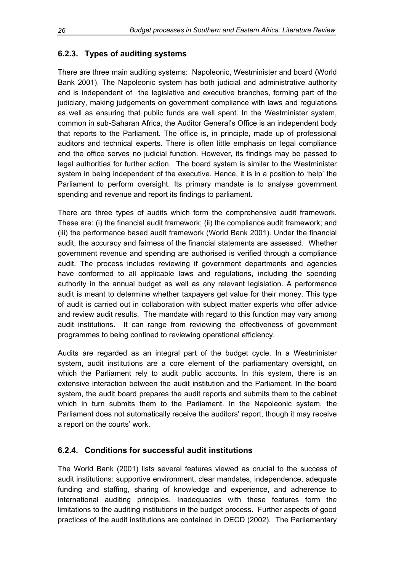### <span id="page-33-0"></span>**6.2.3. Types of auditing systems**

There are three main auditing systems: Napoleonic, Westminister and board (World Bank 2001). The Napoleonic system has both judicial and administrative authority and is independent of the legislative and executive branches, forming part of the judiciary, making judgements on government compliance with laws and regulations as well as ensuring that public funds are well spent. In the Westminister system, common in sub-Saharan Africa, the Auditor General's Office is an independent body that reports to the Parliament. The office is, in principle, made up of professional auditors and technical experts. There is often little emphasis on legal compliance and the office serves no judicial function. However, its findings may be passed to legal authorities for further action. The board system is similar to the Westminister system in being independent of the executive. Hence, it is in a position to 'help' the Parliament to perform oversight. Its primary mandate is to analyse government spending and revenue and report its findings to parliament.

There are three types of audits which form the comprehensive audit framework. These are: (i) the financial audit framework; (ii) the compliance audit framework; and (iii) the performance based audit framework (World Bank 2001). Under the financial audit, the accuracy and fairness of the financial statements are assessed. Whether government revenue and spending are authorised is verified through a compliance audit. The process includes reviewing if government departments and agencies have conformed to all applicable laws and regulations, including the spending authority in the annual budget as well as any relevant legislation. A performance audit is meant to determine whether taxpayers get value for their money. This type of audit is carried out in collaboration with subject matter experts who offer advice and review audit results. The mandate with regard to this function may vary among audit institutions. It can range from reviewing the effectiveness of government programmes to being confined to reviewing operational efficiency.

Audits are regarded as an integral part of the budget cycle. In a Westminister system, audit institutions are a core element of the parliamentary oversight, on which the Parliament rely to audit public accounts. In this system, there is an extensive interaction between the audit institution and the Parliament. In the board system, the audit board prepares the audit reports and submits them to the cabinet which in turn submits them to the Parliament. In the Napoleonic system, the Parliament does not automatically receive the auditors' report, though it may receive a report on the courts' work.

#### **6.2.4. Conditions for successful audit institutions**

The World Bank (2001) lists several features viewed as crucial to the success of audit institutions: supportive environment, clear mandates, independence, adequate funding and staffing, sharing of knowledge and experience, and adherence to international auditing principles. Inadequacies with these features form the limitations to the auditing institutions in the budget process. Further aspects of good practices of the audit institutions are contained in OECD (2002). The Parliamentary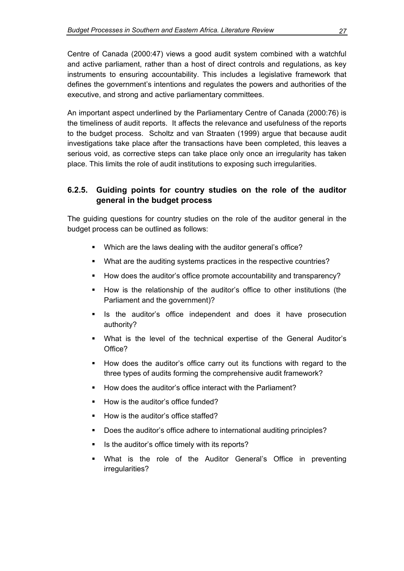<span id="page-34-0"></span>Centre of Canada (2000:47) views a good audit system combined with a watchful and active parliament, rather than a host of direct controls and regulations, as key instruments to ensuring accountability. This includes a legislative framework that defines the government's intentions and regulates the powers and authorities of the executive, and strong and active parliamentary committees.

An important aspect underlined by the Parliamentary Centre of Canada (2000:76) is the timeliness of audit reports. It affects the relevance and usefulness of the reports to the budget process. Scholtz and van Straaten (1999) argue that because audit investigations take place after the transactions have been completed, this leaves a serious void, as corrective steps can take place only once an irregularity has taken place. This limits the role of audit institutions to exposing such irregularities.

#### **6.2.5. Guiding points for country studies on the role of the auditor general in the budget process**

The guiding questions for country studies on the role of the auditor general in the budget process can be outlined as follows:

- **Which are the laws dealing with the auditor general's office?**
- What are the auditing systems practices in the respective countries?
- How does the auditor's office promote accountability and transparency?
- How is the relationship of the auditor's office to other institutions (the Parliament and the government)?
- **In the auditor's office independent and does it have prosecution** authority?
- What is the level of the technical expertise of the General Auditor's Office?
- How does the auditor's office carry out its functions with regard to the three types of audits forming the comprehensive audit framework?
- How does the auditor's office interact with the Parliament?
- How is the auditor's office funded?
- How is the auditor's office staffed?
- **-** Does the auditor's office adhere to international auditing principles?
- Is the auditor's office timely with its reports?
- What is the role of the Auditor General's Office in preventing irregularities?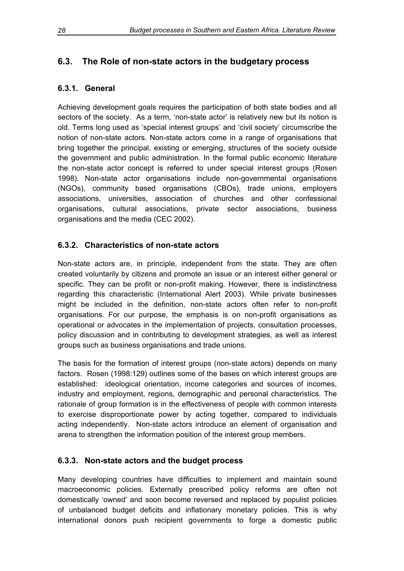## <span id="page-35-0"></span>**6.3. The Role of non-state actors in the budgetary process**

#### **6.3.1. General**

Achieving development goals requires the participation of both state bodies and all sectors of the society. As a term, 'non-state actor' is relatively new but its notion is old. Terms long used as 'special interest groups' and 'civil society' circumscribe the notion of non-state actors. Non-state actors come in a range of organisations that bring together the principal, existing or emerging, structures of the society outside the government and public administration. In the formal public economic literature the non-state actor concept is referred to under special interest groups (Rosen 1998). Non-state actor organisations include non-governmental organisations (NGOs), community based organisations (CBOs), trade unions, employers associations, universities, association of churches and other confessional organisations, cultural associations, private sector associations, business organisations and the media (CEC 2002).

#### **6.3.2. Characteristics of non-state actors**

Non-state actors are, in principle, independent from the state. They are often created voluntarily by citizens and promote an issue or an interest either general or specific. They can be profit or non-profit making. However, there is indistinctness regarding this characteristic (International Alert 2003). While private businesses might be included in the definition, non-state actors often refer to non-profit organisations. For our purpose, the emphasis is on non-profit organisations as operational or advocates in the implementation of projects, consultation processes, policy discussion and in contributing to development strategies, as well as interest groups such as business organisations and trade unions.

The basis for the formation of interest groups (non-state actors) depends on many factors. Rosen (1998:129) outlines some of the bases on which interest groups are established: ideological orientation, income categories and sources of incomes, industry and employment, regions, demographic and personal characteristics. The rationale of group formation is in the effectiveness of people with common interests to exercise disproportionate power by acting together, compared to individuals acting independently. Non-state actors introduce an element of organisation and arena to strengthen the information position of the interest group members.

#### **6.3.3. Non-state actors and the budget process**

Many developing countries have difficulties to implement and maintain sound macroeconomic policies. Externally prescribed policy reforms are often not domestically 'owned' and soon become reversed and replaced by populist policies of unbalanced budget deficits and inflationary monetary policies. This is why international donors push recipient governments to forge a domestic public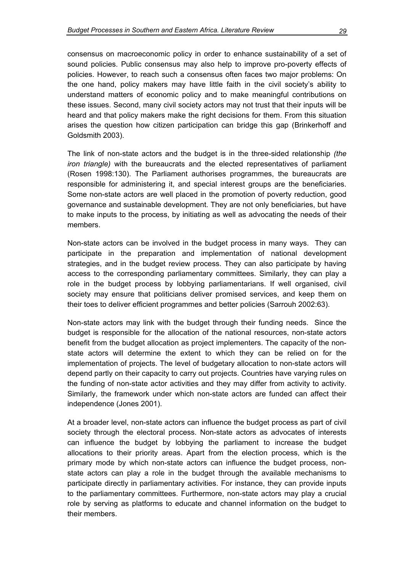consensus on macroeconomic policy in order to enhance sustainability of a set of sound policies. Public consensus may also help to improve pro-poverty effects of policies. However, to reach such a consensus often faces two major problems: On the one hand, policy makers may have little faith in the civil society's ability to understand matters of economic policy and to make meaningful contributions on these issues. Second, many civil society actors may not trust that their inputs will be heard and that policy makers make the right decisions for them. From this situation arises the question how citizen participation can bridge this gap (Brinkerhoff and Goldsmith 2003).

The link of non-state actors and the budget is in the three-sided relationship *(the iron triangle)* with the bureaucrats and the elected representatives of parliament (Rosen 1998:130). The Parliament authorises programmes, the bureaucrats are responsible for administering it, and special interest groups are the beneficiaries. Some non-state actors are well placed in the promotion of poverty reduction, good governance and sustainable development. They are not only beneficiaries, but have to make inputs to the process, by initiating as well as advocating the needs of their members.

Non-state actors can be involved in the budget process in many ways. They can participate in the preparation and implementation of national development strategies, and in the budget review process. They can also participate by having access to the corresponding parliamentary committees. Similarly, they can play a role in the budget process by lobbying parliamentarians. If well organised, civil society may ensure that politicians deliver promised services, and keep them on their toes to deliver efficient programmes and better policies (Sarrouh 2002:63).

Non-state actors may link with the budget through their funding needs. Since the budget is responsible for the allocation of the national resources, non-state actors benefit from the budget allocation as project implementers. The capacity of the nonstate actors will determine the extent to which they can be relied on for the implementation of projects. The level of budgetary allocation to non-state actors will depend partly on their capacity to carry out projects. Countries have varying rules on the funding of non-state actor activities and they may differ from activity to activity. Similarly, the framework under which non-state actors are funded can affect their independence (Jones 2001).

At a broader level, non-state actors can influence the budget process as part of civil society through the electoral process. Non-state actors as advocates of interests can influence the budget by lobbying the parliament to increase the budget allocations to their priority areas. Apart from the election process, which is the primary mode by which non-state actors can influence the budget process, nonstate actors can play a role in the budget through the available mechanisms to participate directly in parliamentary activities. For instance, they can provide inputs to the parliamentary committees. Furthermore, non-state actors may play a crucial role by serving as platforms to educate and channel information on the budget to their members.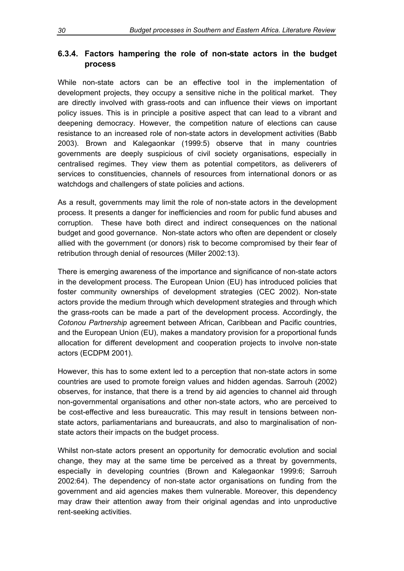### <span id="page-37-0"></span>**6.3.4. Factors hampering the role of non-state actors in the budget process**

While non-state actors can be an effective tool in the implementation of development projects, they occupy a sensitive niche in the political market. They are directly involved with grass-roots and can influence their views on important policy issues. This is in principle a positive aspect that can lead to a vibrant and deepening democracy. However, the competition nature of elections can cause resistance to an increased role of non-state actors in development activities (Babb 2003). Brown and Kalegaonkar (1999:5) observe that in many countries governments are deeply suspicious of civil society organisations, especially in centralised regimes. They view them as potential competitors, as deliverers of services to constituencies, channels of resources from international donors or as watchdogs and challengers of state policies and actions.

As a result, governments may limit the role of non-state actors in the development process. It presents a danger for inefficiencies and room for public fund abuses and corruption. These have both direct and indirect consequences on the national budget and good governance. Non-state actors who often are dependent or closely allied with the government (or donors) risk to become compromised by their fear of retribution through denial of resources (Miller 2002:13).

There is emerging awareness of the importance and significance of non-state actors in the development process. The European Union (EU) has introduced policies that foster community ownerships of development strategies (CEC 2002). Non-state actors provide the medium through which development strategies and through which the grass-roots can be made a part of the development process. Accordingly, the *Cotonou Partnership* agreement between African, Caribbean and Pacific countries, and the European Union (EU), makes a mandatory provision for a proportional funds allocation for different development and cooperation projects to involve non-state actors (ECDPM 2001).

However, this has to some extent led to a perception that non-state actors in some countries are used to promote foreign values and hidden agendas. Sarrouh (2002) observes, for instance, that there is a trend by aid agencies to channel aid through non-governmental organisations and other non-state actors, who are perceived to be cost-effective and less bureaucratic. This may result in tensions between nonstate actors, parliamentarians and bureaucrats, and also to marginalisation of nonstate actors their impacts on the budget process.

Whilst non-state actors present an opportunity for democratic evolution and social change, they may at the same time be perceived as a threat by governments, especially in developing countries (Brown and Kalegaonkar 1999:6; Sarrouh 2002:64). The dependency of non-state actor organisations on funding from the government and aid agencies makes them vulnerable. Moreover, this dependency may draw their attention away from their original agendas and into unproductive rent-seeking activities.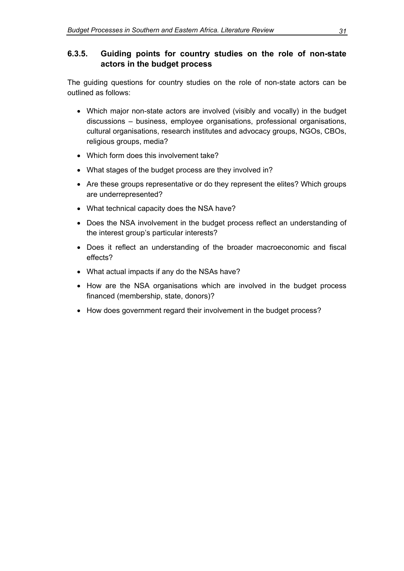#### <span id="page-38-0"></span>**6.3.5. Guiding points for country studies on the role of non-state actors in the budget process**

The guiding questions for country studies on the role of non-state actors can be outlined as follows:

- Which major non-state actors are involved (visibly and vocally) in the budget discussions – business, employee organisations, professional organisations, cultural organisations, research institutes and advocacy groups, NGOs, CBOs, religious groups, media?
- Which form does this involvement take?
- What stages of the budget process are they involved in?
- Are these groups representative or do they represent the elites? Which groups are underrepresented?
- What technical capacity does the NSA have?
- Does the NSA involvement in the budget process reflect an understanding of the interest group's particular interests?
- Does it reflect an understanding of the broader macroeconomic and fiscal effects?
- What actual impacts if any do the NSAs have?
- How are the NSA organisations which are involved in the budget process financed (membership, state, donors)?
- How does government regard their involvement in the budget process?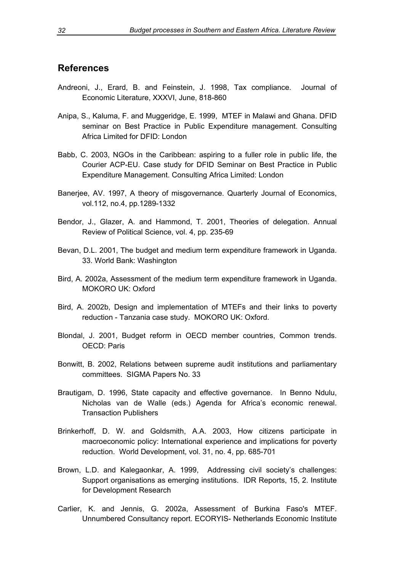#### <span id="page-39-0"></span>**References**

- Andreoni, J., Erard, B. and Feinstein, J. 1998, Tax compliance. Journal of Economic Literature, XXXVI, June, 818-860
- Anipa, S., Kaluma, F. and Muggeridge, E. 1999, MTEF in Malawi and Ghana. DFID seminar on Best Practice in Public Expenditure management. Consulting Africa Limited for DFID: London
- Babb, C. 2003, NGOs in the Caribbean: aspiring to a fuller role in public life, the Courier ACP-EU. Case study for DFID Seminar on Best Practice in Public Expenditure Management. Consulting Africa Limited: London
- Banerjee, AV. 1997, A theory of misgovernance. Quarterly Journal of Economics, vol.112, no.4, pp.1289-1332
- Bendor, J., Glazer, A. and Hammond, T. 2001, Theories of delegation. Annual Review of Political Science, vol. 4, pp. 235-69
- Bevan, D.L. 2001, The budget and medium term expenditure framework in Uganda. 33. World Bank: Washington
- Bird, A. 2002a, Assessment of the medium term expenditure framework in Uganda. MOKORO UK: Oxford
- Bird, A. 2002b, Design and implementation of MTEFs and their links to poverty reduction - Tanzania case study. MOKORO UK: Oxford.
- Blondal, J. 2001, Budget reform in OECD member countries, Common trends. OECD: Paris
- Bonwitt, B. 2002, Relations between supreme audit institutions and parliamentary committees. SIGMA Papers No. 33
- Brautigam, D. 1996, State capacity and effective governance. In Benno Ndulu, Nicholas van de Walle (eds.) Agenda for Africa's economic renewal. Transaction Publishers
- Brinkerhoff, D. W. and Goldsmith, A.A. 2003, How citizens participate in macroeconomic policy: International experience and implications for poverty reduction. World Development, vol. 31, no. 4, pp. 685-701
- Brown, L.D. and Kalegaonkar, A. 1999, Addressing civil society's challenges: Support organisations as emerging institutions. IDR Reports, 15, 2. Institute for Development Research
- Carlier, K. and Jennis, G. 2002a, Assessment of Burkina Faso's MTEF. Unnumbered Consultancy report. ECORYIS- Netherlands Economic Institute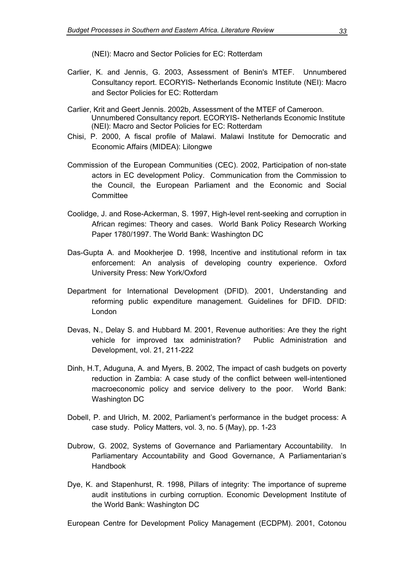(NEI): Macro and Sector Policies for EC: Rotterdam

- Carlier, K. and Jennis, G. 2003, Assessment of Benin's MTEF. Unnumbered Consultancy report. ECORYIS- Netherlands Economic Institute (NEI): Macro and Sector Policies for EC: Rotterdam
- Carlier, Krit and Geert Jennis. 2002b, Assessment of the MTEF of Cameroon. Unnumbered Consultancy report. ECORYIS- Netherlands Economic Institute (NEI): Macro and Sector Policies for EC: Rotterdam
- Chisi, P. 2000, A fiscal profile of Malawi. Malawi Institute for Democratic and Economic Affairs (MIDEA): Lilongwe
- Commission of the European Communities (CEC). 2002, Participation of non-state actors in EC development Policy. Communication from the Commission to the Council, the European Parliament and the Economic and Social **Committee**
- Coolidge, J. and Rose-Ackerman, S. 1997, High-level rent-seeking and corruption in African regimes: Theory and cases. World Bank Policy Research Working Paper 1780/1997. The World Bank: Washington DC
- Das-Gupta A. and Mookherjee D. 1998, Incentive and institutional reform in tax enforcement: An analysis of developing country experience. Oxford University Press: New York/Oxford
- Department for International Development (DFID). 2001, Understanding and reforming public expenditure management. Guidelines for DFID. DFID: London
- Devas, N., Delay S. and Hubbard M. 2001, Revenue authorities: Are they the right vehicle for improved tax administration? Public Administration and Development, vol. 21, 211-222
- Dinh, H.T, Aduguna, A. and Myers, B. 2002, The impact of cash budgets on poverty reduction in Zambia: A case study of the conflict between well-intentioned macroeconomic policy and service delivery to the poor. World Bank: Washington DC
- Dobell, P. and Ulrich, M. 2002, Parliament's performance in the budget process: A case study. Policy Matters, vol. 3, no. 5 (May), pp. 1-23
- Dubrow, G. 2002, Systems of Governance and Parliamentary Accountability. In Parliamentary Accountability and Good Governance, A Parliamentarian's Handbook
- Dye, K. and Stapenhurst, R. 1998, Pillars of integrity: The importance of supreme audit institutions in curbing corruption. Economic Development Institute of the World Bank: Washington DC

European Centre for Development Policy Management (ECDPM). 2001, Cotonou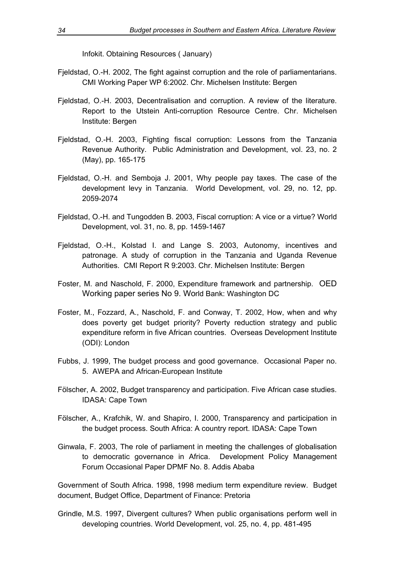Infokit. Obtaining Resources ( January)

- Fieldstad, O.-H. 2002. The fight against corruption and the role of parliamentarians. CMI Working Paper WP 6:2002. Chr. Michelsen Institute: Bergen
- Fieldstad, O.-H. 2003. Decentralisation and corruption. A review of the literature. Report to the Utstein Anti-corruption Resource Centre. Chr. Michelsen Institute: Bergen
- Fjeldstad, O.-H. 2003, Fighting fiscal corruption: Lessons from the Tanzania Revenue Authority. Public Administration and Development, vol. 23, no. 2 (May), pp. 165-175
- Fjeldstad, O.-H. and Semboja J. 2001, Why people pay taxes. The case of the development levy in Tanzania. World Development, vol. 29, no. 12, pp. 2059-2074
- Fjeldstad, O.-H. and Tungodden B. 2003, Fiscal corruption: A vice or a virtue? World Development, vol. 31, no. 8, pp. 1459-1467
- Fjeldstad, O.-H., Kolstad I. and Lange S. 2003, Autonomy, incentives and patronage. A study of corruption in the Tanzania and Uganda Revenue Authorities. CMI Report R 9:2003. Chr. Michelsen Institute: Bergen
- Foster, M. and Naschold, F. 2000, Expenditure framework and partnership. OED Working paper series No 9. World Bank: Washington DC
- Foster, M., Fozzard, A., Naschold, F. and Conway, T. 2002, How, when and why does poverty get budget priority? Poverty reduction strategy and public expenditure reform in five African countries. Overseas Development Institute (ODI): London
- Fubbs, J. 1999, The budget process and good governance. Occasional Paper no. 5. AWEPA and African-European Institute
- Fölscher, A. 2002, Budget transparency and participation. Five African case studies. IDASA: Cape Town
- Fölscher, A., Krafchik, W. and Shapiro, I. 2000, Transparency and participation in the budget process. South Africa: A country report. IDASA: Cape Town
- Ginwala, F. 2003, The role of parliament in meeting the challenges of globalisation to democratic governance in Africa. Development Policy Management Forum Occasional Paper DPMF No. 8. Addis Ababa

Government of South Africa. 1998, 1998 medium term expenditure review. Budget document, Budget Office, Department of Finance: Pretoria

Grindle, M.S. 1997, Divergent cultures? When public organisations perform well in developing countries. World Development, vol. 25, no. 4, pp. 481-495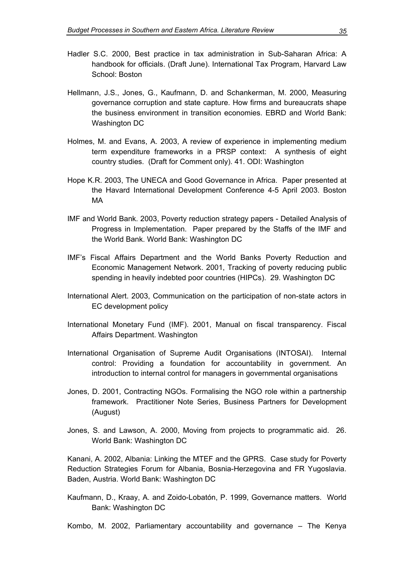- Hadler S.C. 2000, Best practice in tax administration in Sub-Saharan Africa: A handbook for officials. (Draft June). International Tax Program, Harvard Law School: Boston
- Hellmann, J.S., Jones, G., Kaufmann, D. and Schankerman, M. 2000, Measuring governance corruption and state capture. How firms and bureaucrats shape the business environment in transition economies. EBRD and World Bank: Washington DC
- Holmes, M. and Evans, A. 2003, A review of experience in implementing medium term expenditure frameworks in a PRSP context: A synthesis of eight country studies. (Draft for Comment only). 41. ODI: Washington
- Hope K.R. 2003, The UNECA and Good Governance in Africa. Paper presented at the Havard International Development Conference 4-5 April 2003. Boston MA
- IMF and World Bank. 2003, Poverty reduction strategy papers Detailed Analysis of Progress in Implementation. Paper prepared by the Staffs of the IMF and the World Bank. World Bank: Washington DC
- IMF's Fiscal Affairs Department and the World Banks Poverty Reduction and Economic Management Network. 2001, Tracking of poverty reducing public spending in heavily indebted poor countries (HIPCs). 29. Washington DC
- International Alert. 2003, Communication on the participation of non-state actors in EC development policy
- International Monetary Fund (IMF). 2001, Manual on fiscal transparency. Fiscal Affairs Department. Washington
- International Organisation of Supreme Audit Organisations (INTOSAI). Internal control: Providing a foundation for accountability in government. An introduction to internal control for managers in governmental organisations
- Jones, D. 2001, Contracting NGOs. Formalising the NGO role within a partnership framework. Practitioner Note Series, Business Partners for Development (August)
- Jones, S. and Lawson, A. 2000, Moving from projects to programmatic aid. 26. World Bank: Washington DC

Kanani, A. 2002, Albania: Linking the MTEF and the GPRS. Case study for Poverty Reduction Strategies Forum for Albania, Bosnia-Herzegovina and FR Yugoslavia. Baden, Austria. World Bank: Washington DC

Kaufmann, D., Kraay, A. and Zoido-Lobatón, P. 1999, Governance matters. World Bank: Washington DC

Kombo, M. 2002, Parliamentary accountability and governance – The Kenya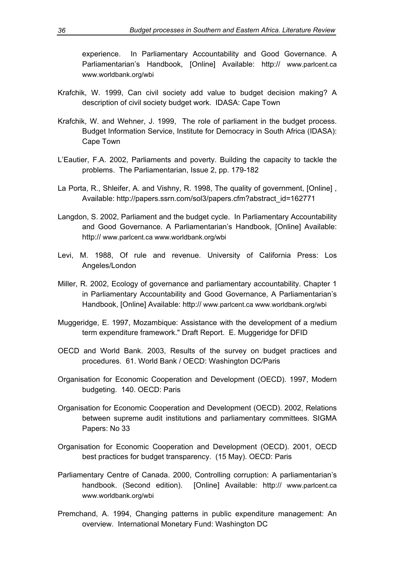experience. In Parliamentary Accountability and Good Governance. A Parliamentarian's Handbook, [Online] Available: http:// www.parlcent.ca www.worldbank.org/wbi

- Krafchik, W. 1999, Can civil society add value to budget decision making? A description of civil society budget work. IDASA: Cape Town
- Krafchik, W. and Wehner, J. 1999, The role of parliament in the budget process. Budget Information Service, Institute for Democracy in South Africa (IDASA): Cape Town
- L'Eautier, F.A. 2002, Parliaments and poverty. Building the capacity to tackle the problems. The Parliamentarian, Issue 2, pp. 179-182
- La Porta, R., Shleifer, A. and Vishny, R. 1998, The quality of government, [Online] , Available: http://papers.ssrn.com/sol3/papers.cfm?abstract\_id=162771
- Langdon, S. 2002, Parliament and the budget cycle. In Parliamentary Accountability and Good Governance. A Parliamentarian's Handbook, [Online] Available: http:// www.parlcent.ca www.worldbank.org/wbi
- Levi, M. 1988, Of rule and revenue. University of California Press: Los Angeles/London
- Miller, R. 2002, Ecology of governance and parliamentary accountability. Chapter 1 in Parliamentary Accountability and Good Governance, A Parliamentarian's Handbook, [Online] Available: http:// www.parlcent.ca www.worldbank.org/wbi
- Muggeridge, E. 1997, Mozambique: Assistance with the development of a medium term expenditure framework." Draft Report. E. Muggeridge for DFID
- OECD and World Bank. 2003, Results of the survey on budget practices and procedures. 61. World Bank / OECD: Washington DC/Paris
- Organisation for Economic Cooperation and Development (OECD). 1997, Modern budgeting. 140. OECD: Paris
- Organisation for Economic Cooperation and Development (OECD). 2002, Relations between supreme audit institutions and parliamentary committees. SIGMA Papers: No 33
- Organisation for Economic Cooperation and Development (OECD). 2001, OECD best practices for budget transparency. (15 May). OECD: Paris
- Parliamentary Centre of Canada. 2000, Controlling corruption: A parliamentarian's handbook. (Second edition). [Online] Available: http:// www.parlcent.ca www.worldbank.org/wbi
- Premchand, A. 1994, Changing patterns in public expenditure management: An overview. International Monetary Fund: Washington DC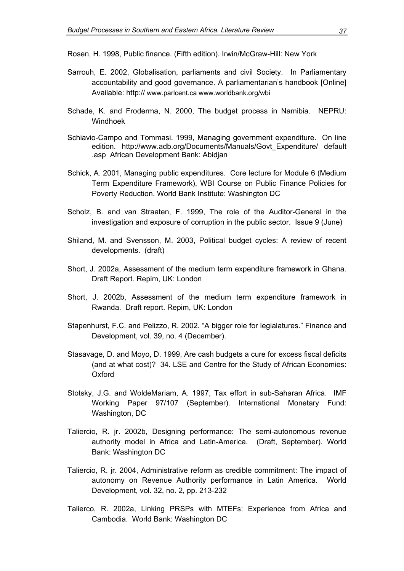Rosen, H. 1998, Public finance. (Fifth edition). Irwin/McGraw-Hill: New York

- Sarrouh, E. 2002, Globalisation, parliaments and civil Society. In Parliamentary accountability and good governance. A parliamentarian's handbook [Online] Available: http:// www.parlcent.ca www.worldbank.org/wbi
- Schade, K. and Froderma, N. 2000, The budget process in Namibia. NEPRU: Windhoek
- Schiavio-Campo and Tommasi. 1999, Managing government expenditure. On line edition. http://www.adb.org/Documents/Manuals/Govt\_Expenditure/ default .asp African Development Bank: Abidjan
- Schick, A. 2001, Managing public expenditures. Core lecture for Module 6 (Medium Term Expenditure Framework), WBI Course on Public Finance Policies for Poverty Reduction. World Bank Institute: Washington DC
- Scholz, B. and van Straaten, F. 1999, The role of the Auditor-General in the investigation and exposure of corruption in the public sector. Issue 9 (June)
- Shiland, M. and Svensson, M. 2003, Political budget cycles: A review of recent developments. (draft)
- Short, J. 2002a, Assessment of the medium term expenditure framework in Ghana. Draft Report. Repim, UK: London
- Short, J. 2002b, Assessment of the medium term expenditure framework in Rwanda. Draft report. Repim, UK: London
- Stapenhurst, F.C. and Pelizzo, R. 2002. "A bigger role for legialatures." Finance and Development, vol. 39, no. 4 (December).
- Stasavage, D. and Moyo, D. 1999, Are cash budgets a cure for excess fiscal deficits (and at what cost)? 34. LSE and Centre for the Study of African Economies: **Oxford**
- Stotsky, J.G. and WoldeMariam, A. 1997, Tax effort in sub-Saharan Africa. IMF Working Paper 97/107 (September). International Monetary Fund: Washington, DC
- Taliercio, R. jr. 2002b, Designing performance: The semi-autonomous revenue authority model in Africa and Latin-America. (Draft, September). World Bank: Washington DC
- Taliercio, R. jr. 2004, Administrative reform as credible commitment: The impact of autonomy on Revenue Authority performance in Latin America. World Development, vol. 32, no. 2, pp. 213-232
- Talierco, R. 2002a, Linking PRSPs with MTEFs: Experience from Africa and Cambodia. World Bank: Washington DC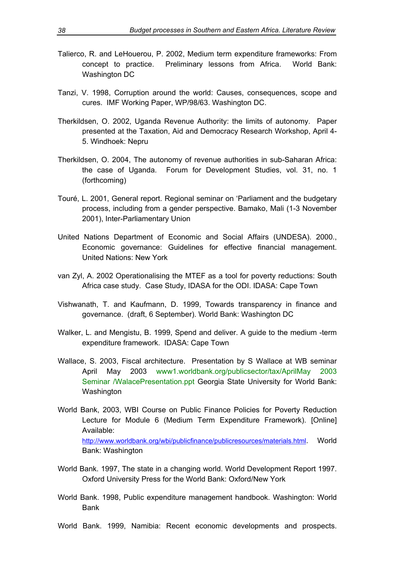- Talierco, R. and LeHouerou, P. 2002, Medium term expenditure frameworks: From concept to practice. Preliminary lessons from Africa. World Bank: Washington DC
- Tanzi, V. 1998, Corruption around the world: Causes, consequences, scope and cures. IMF Working Paper, WP/98/63. Washington DC.
- Therkildsen, O. 2002, Uganda Revenue Authority: the limits of autonomy. Paper presented at the Taxation, Aid and Democracy Research Workshop, April 4- 5. Windhoek: Nepru
- Therkildsen, O. 2004, The autonomy of revenue authorities in sub-Saharan Africa: the case of Uganda. Forum for Development Studies, vol. 31, no. 1 (forthcoming)
- Touré, L. 2001, General report. Regional seminar on 'Parliament and the budgetary process, including from a gender perspective. Bamako, Mali (1-3 November 2001), Inter-Parliamentary Union
- United Nations Department of Economic and Social Affairs (UNDESA). 2000., Economic governance: Guidelines for effective financial management. United Nations: New York
- van Zyl, A. 2002 Operationalising the MTEF as a tool for poverty reductions: South Africa case study. Case Study, IDASA for the ODI. IDASA: Cape Town
- Vishwanath, T. and Kaufmann, D. 1999, Towards transparency in finance and governance. (draft, 6 September). World Bank: Washington DC
- Walker, L. and Mengistu, B. 1999, Spend and deliver. A guide to the medium -term expenditure framework. IDASA: Cape Town
- Wallace, S. 2003, Fiscal architecture. Presentation by S Wallace at WB seminar April May 2003 www1.worldbank.org/publicsector/tax/AprilMay 2003 Seminar /WalacePresentation.ppt Georgia State University for World Bank: Washington
- World Bank, 2003, WBI Course on Public Finance Policies for Poverty Reduction Lecture for Module 6 (Medium Term Expenditure Framework). [Online] Available: http://www.worldbank.org/wbi/publicfinance/publicresources/materials.html. World Bank: Washington
- World Bank. 1997, The state in a changing world. World Development Report 1997. Oxford University Press for the World Bank: Oxford/New York
- World Bank. 1998, Public expenditure management handbook. Washington: World Bank
- World Bank. 1999, Namibia: Recent economic developments and prospects.